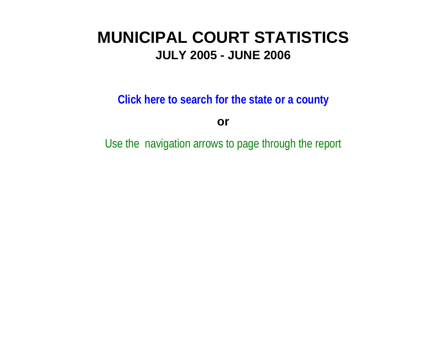# **MUNICIPAL COURT STATISTICSJULY 2005 - JUNE 2006**

**Click here to search for the state or a county**

**or**

Use the navigation arrows to page through the report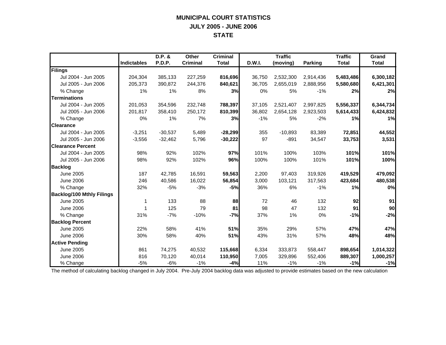## **MUNICIPAL COURT STATISTICS JULY 2005 - JUNE 2006 STATE**

|                                  |             | D.P. &    | <b>Other</b>    | <b>Criminal</b> |        | <b>Traffic</b> |           | <b>Traffic</b> | Grand           |
|----------------------------------|-------------|-----------|-----------------|-----------------|--------|----------------|-----------|----------------|-----------------|
|                                  | Indictables | P.D.P.    | <b>Criminal</b> | <b>Total</b>    | D.W.I. | (moving)       | Parking   | <b>Total</b>   | <b>Total</b>    |
| Filings                          |             |           |                 |                 |        |                |           |                |                 |
| Jul 2004 - Jun 2005              | 204,304     | 385,133   | 227,259         | 816,696         | 36,750 | 2,532,300      | 2,914,436 | 5,483,486      | 6,300,182       |
| Jul 2005 - Jun 2006              | 205,373     | 390,872   | 244,376         | 840,621         | 36,705 | 2,655,019      | 2,888,956 | 5,580,680      | 6,421,301       |
| % Change                         | 1%          | 1%        | 8%              | 3%              | 0%     | 5%             | $-1%$     | 2%             | 2%              |
| <b>Terminations</b>              |             |           |                 |                 |        |                |           |                |                 |
| Jul 2004 - Jun 2005              | 201.053     | 354,596   | 232,748         | 788,397         | 37,105 | 2,521,407      | 2,997,825 | 5,556,337      | 6,344,734       |
| Jul 2005 - Jun 2006              | 201,817     | 358,410   | 250,172         | 810,399         | 36,802 | 2,654,128      | 2,923,503 | 5,614,433      | 6,424,832       |
| % Change                         | 0%          | 1%        | 7%              | 3%              | $-1%$  | 5%             | $-2%$     | 1%             | 1%              |
| <b>Clearance</b>                 |             |           |                 |                 |        |                |           |                |                 |
| Jul 2004 - Jun 2005              | $-3,251$    | $-30,537$ | 5,489           | $-28,299$       | 355    | $-10,893$      | 83,389    | 72,851         | 44,552          |
| Jul 2005 - Jun 2006              | $-3,556$    | $-32,462$ | 5,796           | $-30,222$       | 97     | $-891$         | 34,547    | 33,753         | 3,531           |
| <b>Clearance Percent</b>         |             |           |                 |                 |        |                |           |                |                 |
| Jul 2004 - Jun 2005              | 98%         | 92%       | 102%            | 97%             | 101%   | 100%           | 103%      | 101%           | 101%            |
| Jul 2005 - Jun 2006              | 98%         | 92%       | 102%            | 96%             | 100%   | 100%           | 101%      | 101%           | 100%            |
| <b>Backlog</b>                   |             |           |                 |                 |        |                |           |                |                 |
| <b>June 2005</b>                 | 187         | 42,785    | 16,591          | 59,563          | 2,200  | 97,403         | 319,926   | 419,529        | 479,092         |
| <b>June 2006</b>                 | 246         | 40,586    | 16,022          | 56,854          | 3,000  | 103,121        | 317,563   | 423,684        | 480,538         |
| % Change                         | 32%         | $-5%$     | $-3%$           | $-5%$           | 36%    | 6%             | $-1%$     | 1%             | 0%              |
| <b>Backlog/100 Mthly Filings</b> |             |           |                 |                 |        |                |           |                |                 |
| June 2005                        | 1           | 133       | 88              | 88              | 72     | 46             | 132       | 92             | 91              |
| <b>June 2006</b>                 |             | 125       | 79              | 81              | 98     | 47             | 132       | 91             | 90 <sup>1</sup> |
| % Change                         | 31%         | $-7%$     | $-10%$          | $-7%$           | 37%    | 1%             | 0%        | $-1%$          | $-2%$           |
| <b>Backlog Percent</b>           |             |           |                 |                 |        |                |           |                |                 |
| <b>June 2005</b>                 | 22%         | 58%       | 41%             | 51%             | 35%    | 29%            | 57%       | 47%            | 47%             |
| <b>June 2006</b>                 | 30%         | 58%       | 40%             | 51%             | 43%    | 31%            | 57%       | 48%            | 48%             |
| <b>Active Pending</b>            |             |           |                 |                 |        |                |           |                |                 |
| June 2005                        | 861         | 74,275    | 40,532          | 115,668         | 6,334  | 333,873        | 558,447   | 898,654        | 1,014,322       |
| <b>June 2006</b>                 | 816         | 70,120    | 40,014          | 110,950         | 7,005  | 329,896        | 552,406   | 889,307        | 1,000,257       |
| % Change                         | $-5%$       | $-6%$     | $-1%$           | $-4%$           | 11%    | $-1%$          | $-1\%$    | $-1%$          | $-1%$           |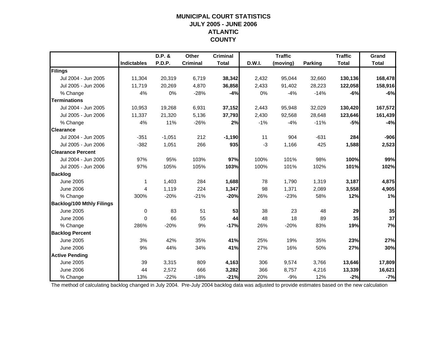## **MUNICIPAL COURT STATISTICSJULY 2005 - JUNE 2006 ATLANTIC COUNTY**

|                                  |                    | D.P. &   | Other           | <b>Criminal</b> |        | <b>Traffic</b> |                | <b>Traffic</b> | Grand        |
|----------------------------------|--------------------|----------|-----------------|-----------------|--------|----------------|----------------|----------------|--------------|
|                                  | <b>Indictables</b> | P.D.P.   | <b>Criminal</b> | <b>Total</b>    | D.W.I. | (moving)       | <b>Parking</b> | <b>Total</b>   | <b>Total</b> |
| Filings                          |                    |          |                 |                 |        |                |                |                |              |
| Jul 2004 - Jun 2005              | 11,304             | 20,319   | 6,719           | 38,342          | 2,432  | 95,044         | 32,660         | 130,136        | 168,478      |
| Jul 2005 - Jun 2006              | 11,719             | 20,269   | 4,870           | 36,858          | 2,433  | 91,402         | 28,223         | 122,058        | 158,916      |
| % Change                         | 4%                 | 0%       | $-28%$          | $-4%$           | 0%     | $-4%$          | $-14%$         | $-6%$          | $-6%$        |
| <b>Terminations</b>              |                    |          |                 |                 |        |                |                |                |              |
| Jul 2004 - Jun 2005              | 10,953             | 19,268   | 6,931           | 37,152          | 2,443  | 95,948         | 32,029         | 130,420        | 167,572      |
| Jul 2005 - Jun 2006              | 11,337             | 21,320   | 5,136           | 37,793          | 2,430  | 92,568         | 28,648         | 123,646        | 161,439      |
| % Change                         | 4%                 | 11%      | $-26%$          | 2%              | $-1%$  | $-4%$          | $-11%$         | $-5%$          | $-4%$        |
| <b>Clearance</b>                 |                    |          |                 |                 |        |                |                |                |              |
| Jul 2004 - Jun 2005              | $-351$             | $-1,051$ | 212             | $-1,190$        | 11     | 904            | $-631$         | 284            | $-906$       |
| Jul 2005 - Jun 2006              | $-382$             | 1,051    | 266             | 935             | $-3$   | 1,166          | 425            | 1,588          | 2,523        |
| <b>Clearance Percent</b>         |                    |          |                 |                 |        |                |                |                |              |
| Jul 2004 - Jun 2005              | 97%                | 95%      | 103%            | 97%             | 100%   | 101%           | 98%            | 100%           | 99%          |
| Jul 2005 - Jun 2006              | 97%                | 105%     | 105%            | 103%            | 100%   | 101%           | 102%           | 101%           | 102%         |
| <b>Backlog</b>                   |                    |          |                 |                 |        |                |                |                |              |
| <b>June 2005</b>                 | $\mathbf 1$        | 1,403    | 284             | 1,688           | 78     | 1,790          | 1,319          | 3,187          | 4,875        |
| <b>June 2006</b>                 | 4                  | 1,119    | 224             | 1,347           | 98     | 1,371          | 2,089          | 3,558          | 4,905        |
| % Change                         | 300%               | $-20%$   | $-21%$          | $-20%$          | 26%    | $-23%$         | 58%            | 12%            | 1%           |
| <b>Backlog/100 Mthly Filings</b> |                    |          |                 |                 |        |                |                |                |              |
| June 2005                        | 0                  | 83       | 51              | 53              | 38     | 23             | 48             | 29             | 35           |
| <b>June 2006</b>                 | $\Omega$           | 66       | 55              | 44              | 48     | 18             | 89             | 35             | 37           |
| % Change                         | 286%               | $-20%$   | 9%              | $-17%$          | 26%    | $-20%$         | 83%            | 19%            | 7%           |
| <b>Backlog Percent</b>           |                    |          |                 |                 |        |                |                |                |              |
| <b>June 2005</b>                 | 3%                 | 42%      | 35%             | 41%             | 25%    | 19%            | 35%            | 23%            | 27%          |
| <b>June 2006</b>                 | 9%                 | 44%      | 34%             | 41%             | 27%    | 16%            | 50%            | 27%            | 30%          |
| <b>Active Pending</b>            |                    |          |                 |                 |        |                |                |                |              |
| June 2005                        | 39                 | 3,315    | 809             | 4,163           | 306    | 9,574          | 3,766          | 13,646         | 17,809       |
| <b>June 2006</b>                 | 44                 | 2,572    | 666             | 3,282           | 366    | 8,757          | 4,216          | 13,339         | 16,621       |
| % Change                         | 13%                | $-22%$   | $-18%$          | $-21%$          | 20%    | $-9%$          | 12%            | $-2%$          | $-7%$        |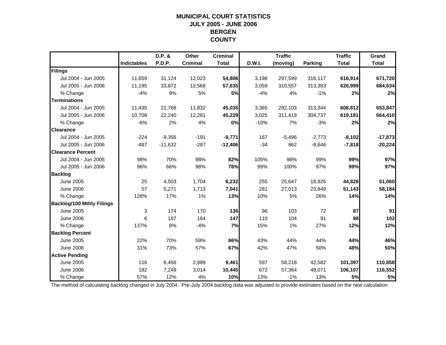#### **MUNICIPAL COURT STATISTICS JULY 2005 - JUNE 2006 BERGEN COUNTY**

|                                  |                    | D.P. &        | Other           | <b>Criminal</b> |        | <b>Traffic</b> |                | <b>Traffic</b> | Grand        |
|----------------------------------|--------------------|---------------|-----------------|-----------------|--------|----------------|----------------|----------------|--------------|
|                                  | <b>Indictables</b> | <b>P.D.P.</b> | <b>Criminal</b> | <b>Total</b>    | D.W.I. | (moving)       | <b>Parking</b> | <b>Total</b>   | <b>Total</b> |
| Filings                          |                    |               |                 |                 |        |                |                |                |              |
| Jul 2004 - Jun 2005              | 11,659             | 31,124        | 12,023          | 54,806          | 3,198  | 297,599        | 316,117        | 616,914        | 671,720      |
| Jul 2005 - Jun 2006              | 11,195             | 33,872        | 12,568          | 57,635          | 3,059  | 310,557        | 313,383        | 626,999        | 684,634      |
| % Change                         | $-4%$              | 9%            | 5%              | 5%              | $-4%$  | 4%             | $-1%$          | 2%             | 2%           |
| <b>Terminations</b>              |                    |               |                 |                 |        |                |                |                |              |
| Jul 2004 - Jun 2005              | 11,435             | 21,768        | 11,832          | 45,035          | 3,365  | 292,103        | 313,344        | 608,812        | 653,847      |
| Jul 2005 - Jun 2006              | 10.708             | 22,240        | 12,281          | 45,229          | 3,025  | 311,419        | 304,737        | 619,181        | 664,410      |
| % Change                         | $-6%$              | 2%            | 4%              | 0%              | $-10%$ | 7%             | $-3%$          | 2%             | 2%           |
| <b>Clearance</b>                 |                    |               |                 |                 |        |                |                |                |              |
| Jul 2004 - Jun 2005              | $-224$             | $-9,356$      | $-191$          | $-9,771$        | 167    | $-5,496$       | $-2,773$       | $-8,102$       | $-17,873$    |
| Jul 2005 - Jun 2006              | $-487$             | $-11,632$     | $-287$          | $-12,406$       | $-34$  | 862            | $-8,646$       | $-7,818$       | $-20,224$    |
| <b>Clearance Percent</b>         |                    |               |                 |                 |        |                |                |                |              |
| Jul 2004 - Jun 2005              | 98%                | 70%           | 98%             | 82%             | 105%   | 98%            | 99%            | 99%            | 97%          |
| Jul 2005 - Jun 2006              | 96%                | 66%           | 98%             | 78%             | 99%    | 100%           | 97%            | 99%            | 97%          |
| <b>Backlog</b>                   |                    |               |                 |                 |        |                |                |                |              |
| June 2005                        | 25                 | 4,503         | 1,704           | 6,232           | 255    | 25,647         | 18,926         | 44,828         | 51,060       |
| <b>June 2006</b>                 | 57                 | 5,271         | 1,713           | 7,041           | 281    | 27,013         | 23,849         | 51,143         | 58,184       |
| % Change                         | 128%               | 17%           | 1%              | 13%             | 10%    | 5%             | 26%            | 14%            | 14%          |
| <b>Backlog/100 Mthly Filings</b> |                    |               |                 |                 |        |                |                |                |              |
| June 2005                        | 3                  | 174           | 170             | 136             | 96     | 103            | 72             | 87             | 91           |
| <b>June 2006</b>                 | 6                  | 187           | 164             | 147             | 110    | 104            | 91             | 98             | 102          |
| % Change                         | 137%               | 8%            | $-4%$           | 7%              | 15%    | 1%             | 27%            | 12%            | 12%          |
| <b>Backlog Percent</b>           |                    |               |                 |                 |        |                |                |                |              |
| <b>June 2005</b>                 | 22%                | 70%           | 59%             | 66%             | 43%    | 44%            | 44%            | 44%            | 46%          |
| <b>June 2006</b>                 | 31%                | 73%           | 57%             | 67%             | 42%    | 47%            | 50%            | 48%            | 50%          |
| <b>Active Pending</b>            |                    |               |                 |                 |        |                |                |                |              |
| <b>June 2005</b>                 | 116                | 6,456         | 2,889           | 9,461           | 597    | 58,218         | 42,582         | 101,397        | 110,858      |
| <b>June 2006</b>                 | 182                | 7,249         | 3,014           | 10,445          | 672    | 57,364         | 48,071         | 106,107        | 116,552      |
| % Change                         | 57%                | 12%           | 4%              | 10%             | 13%    | $-1%$          | 13%            | 5%             | 5%           |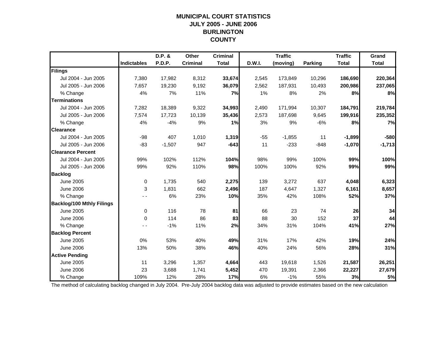## **MUNICIPAL COURT STATISTICSJULY 2005 - JUNE 2006 BURLINGTON COUNTY**

|                                  |                    | D.P. &   | Other           | <b>Criminal</b> |        | <b>Traffic</b> |                | <b>Traffic</b> | Grand        |
|----------------------------------|--------------------|----------|-----------------|-----------------|--------|----------------|----------------|----------------|--------------|
|                                  | <b>Indictables</b> | P.D.P.   | <b>Criminal</b> | <b>Total</b>    | D.W.I. | (moving)       | <b>Parking</b> | <b>Total</b>   | <b>Total</b> |
| Filings                          |                    |          |                 |                 |        |                |                |                |              |
| Jul 2004 - Jun 2005              | 7,380              | 17,982   | 8,312           | 33,674          | 2,545  | 173,849        | 10,296         | 186,690        | 220,364      |
| Jul 2005 - Jun 2006              | 7,657              | 19,230   | 9,192           | 36,079          | 2,562  | 187,931        | 10,493         | 200,986        | 237,065      |
| % Change                         | 4%                 | 7%       | 11%             | 7%              | 1%     | 8%             | 2%             | 8%             | 8%           |
| <b>Terminations</b>              |                    |          |                 |                 |        |                |                |                |              |
| Jul 2004 - Jun 2005              | 7,282              | 18,389   | 9,322           | 34,993          | 2,490  | 171,994        | 10,307         | 184,791        | 219,784      |
| Jul 2005 - Jun 2006              | 7,574              | 17,723   | 10,139          | 35,436          | 2,573  | 187,698        | 9,645          | 199,916        | 235,352      |
| % Change                         | 4%                 | $-4%$    | 9%              | 1%              | 3%     | 9%             | $-6%$          | 8%             | 7%           |
| <b>Clearance</b>                 |                    |          |                 |                 |        |                |                |                |              |
| Jul 2004 - Jun 2005              | $-98$              | 407      | 1,010           | 1,319           | $-55$  | $-1,855$       | 11             | $-1,899$       | $-580$       |
| Jul 2005 - Jun 2006              | $-83$              | $-1,507$ | 947             | $-643$          | 11     | $-233$         | $-848$         | $-1,070$       | $-1,713$     |
| <b>Clearance Percent</b>         |                    |          |                 |                 |        |                |                |                |              |
| Jul 2004 - Jun 2005              | 99%                | 102%     | 112%            | 104%            | 98%    | 99%            | 100%           | 99%            | 100%         |
| Jul 2005 - Jun 2006              | 99%                | 92%      | 110%            | 98%             | 100%   | 100%           | 92%            | 99%            | 99%          |
| <b>Backlog</b>                   |                    |          |                 |                 |        |                |                |                |              |
| June 2005                        | $\mathbf 0$        | 1,735    | 540             | 2,275           | 139    | 3,272          | 637            | 4,048          | 6,323        |
| <b>June 2006</b>                 | 3                  | 1,831    | 662             | 2,496           | 187    | 4,647          | 1,327          | 6,161          | 8,657        |
| % Change                         |                    | 6%       | 23%             | 10%             | 35%    | 42%            | 108%           | 52%            | 37%          |
| <b>Backlog/100 Mthly Filings</b> |                    |          |                 |                 |        |                |                |                |              |
| June 2005                        | $\mathbf 0$        | 116      | 78              | 81              | 66     | 23             | 74             | 26             | 34           |
| <b>June 2006</b>                 | 0                  | 114      | 86              | 83              | 88     | 30             | 152            | 37             | 44           |
| % Change                         |                    | $-1%$    | 11%             | 2%              | 34%    | 31%            | 104%           | 41%            | 27%          |
| <b>Backlog Percent</b>           |                    |          |                 |                 |        |                |                |                |              |
| <b>June 2005</b>                 | 0%                 | 53%      | 40%             | 49%             | 31%    | 17%            | 42%            | 19%            | 24%          |
| <b>June 2006</b>                 | 13%                | 50%      | 38%             | 46%             | 40%    | 24%            | 56%            | 28%            | 31%          |
| <b>Active Pending</b>            |                    |          |                 |                 |        |                |                |                |              |
| <b>June 2005</b>                 | 11                 | 3,296    | 1,357           | 4,664           | 443    | 19,618         | 1,526          | 21,587         | 26,251       |
| <b>June 2006</b>                 | 23                 | 3,688    | 1,741           | 5,452           | 470    | 19,391         | 2,366          | 22,227         | 27,679       |
| % Change                         | 109%               | 12%      | 28%             | 17%             | 6%     | $-1%$          | 55%            | 3%             | 5%           |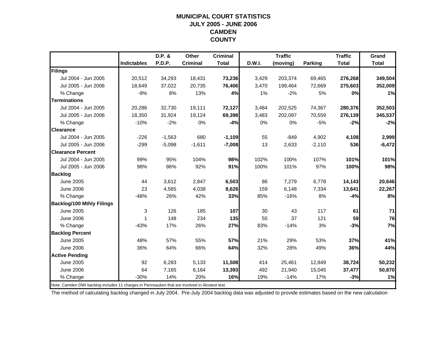#### **MUNICIPAL COURT STATISTICSJULY 2005 - JUNE 2006 CAMDEN COUNTY**

|                                                                                                |                    | D.P. &   | Other           | <b>Criminal</b> |        | <b>Traffic</b> |          | <b>Traffic</b> | Grand        |
|------------------------------------------------------------------------------------------------|--------------------|----------|-----------------|-----------------|--------|----------------|----------|----------------|--------------|
|                                                                                                | <b>Indictables</b> | P.D.P.   | <b>Criminal</b> | <b>Total</b>    | D.W.I. | (moving)       | Parking  | <b>Total</b>   | <b>Total</b> |
| Filings                                                                                        |                    |          |                 |                 |        |                |          |                |              |
| Jul 2004 - Jun 2005                                                                            | 20,512             | 34,293   | 18,431          | 73,236          | 3,429  | 203,374        | 69,465   | 276,268        | 349,504      |
| Jul 2005 - Jun 2006                                                                            | 18,649             | 37,022   | 20,735          | 76,406          | 3,470  | 199,464        | 72,669   | 275,603        | 352,009      |
| % Change                                                                                       | $-9%$              | 8%       | 13%             | 4%              | 1%     | $-2%$          | 5%       | 0%             | 1%           |
| <b>Terminations</b>                                                                            |                    |          |                 |                 |        |                |          |                |              |
| Jul 2004 - Jun 2005                                                                            | 20,286             | 32,730   | 19,111          | 72,127          | 3,484  | 202,525        | 74,367   | 280,376        | 352,503      |
| Jul 2005 - Jun 2006                                                                            | 18,350             | 31,924   | 19,124          | 69,398          | 3,483  | 202,097        | 70,559   | 276,139        | 345,537      |
| % Change                                                                                       | $-10%$             | $-2%$    | 0%              | $-4%$           | 0%     | 0%             | $-5%$    | $-2%$          | $-2%$        |
| <b>Clearance</b>                                                                               |                    |          |                 |                 |        |                |          |                |              |
| Jul 2004 - Jun 2005                                                                            | $-226$             | $-1,563$ | 680             | $-1,109$        | 55     | $-849$         | 4,902    | 4,108          | 2,999        |
| Jul 2005 - Jun 2006                                                                            | $-299$             | $-5,098$ | $-1,611$        | $-7,008$        | 13     | 2,633          | $-2,110$ | 536            | $-6,472$     |
| <b>Clearance Percent</b>                                                                       |                    |          |                 |                 |        |                |          |                |              |
| Jul 2004 - Jun 2005                                                                            | 99%                | 95%      | 104%            | 98%             | 102%   | 100%           | 107%     | 101%           | 101%         |
| Jul 2005 - Jun 2006                                                                            | 98%                | 86%      | 92%             | 91%             | 100%   | 101%           | 97%      | 100%           | 98%          |
| <b>Backlog</b>                                                                                 |                    |          |                 |                 |        |                |          |                |              |
| <b>June 2005</b>                                                                               | 44                 | 3,612    | 2,847           | 6,503           | 86     | 7,279          | 6,778    | 14,143         | 20,646       |
| <b>June 2006</b>                                                                               | 23                 | 4,565    | 4,038           | 8,626           | 159    | 6,148          | 7,334    | 13,641         | 22,267       |
| % Change                                                                                       | $-48%$             | 26%      | 42%             | 33%             | 85%    | $-16%$         | 8%       | $-4%$          | 8%           |
| <b>Backlog/100 Mthly Filings</b>                                                               |                    |          |                 |                 |        |                |          |                |              |
| <b>June 2005</b>                                                                               | 3                  | 126      | 185             | 107             | 30     | 43             | 117      | 61             | 71           |
| <b>June 2006</b>                                                                               | 1                  | 148      | 234             | 135             | 55     | 37             | 121      | 59             | 76           |
| % Change                                                                                       | $-43%$             | 17%      | 26%             | 27%             | 83%    | $-14%$         | 3%       | $-3%$          | 7%           |
| <b>Backlog Percent</b>                                                                         |                    |          |                 |                 |        |                |          |                |              |
| <b>June 2005</b>                                                                               | 48%                | 57%      | 55%             | 57%             | 21%    | 29%            | 53%      | 37%            | 41%          |
| <b>June 2006</b>                                                                               | 36%                | 64%      | 66%             | 64%             | 32%    | 28%            | 49%      | 36%            | 44%          |
| <b>Active Pending</b>                                                                          |                    |          |                 |                 |        |                |          |                |              |
| <b>June 2005</b>                                                                               | 92                 | 6,283    | 5,133           | 11,508          | 414    | 25,461         | 12,849   | 38,724         | 50,232       |
| <b>June 2006</b>                                                                               | 64                 | 7,165    | 6,164           | 13,393          | 492    | 21,940         | 15,045   | 37,477         | 50,870       |
| % Change                                                                                       | $-30%$             | 14%      | 20%             | 16%             | 19%    | $-14%$         | 17%      | $-3%$          | 1%           |
| Note: Camden DWI backlog includes 11 charges in Pennsauken that are involved in Alcotest test. |                    |          |                 |                 |        |                |          |                |              |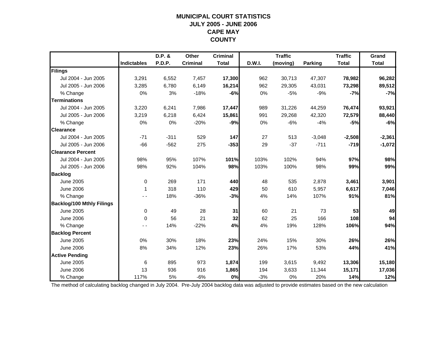## **MUNICIPAL COURT STATISTICSJULY 2005 - JUNE 2006 CAPE MAY COUNTY**

|                                  |                    | D.P. & | Other           | <b>Criminal</b> |        | <b>Traffic</b> |                | <b>Traffic</b> | Grand        |
|----------------------------------|--------------------|--------|-----------------|-----------------|--------|----------------|----------------|----------------|--------------|
|                                  | <b>Indictables</b> | P.D.P. | <b>Criminal</b> | <b>Total</b>    | D.W.I. | (moving)       | <b>Parking</b> | <b>Total</b>   | <b>Total</b> |
| Filings                          |                    |        |                 |                 |        |                |                |                |              |
| Jul 2004 - Jun 2005              | 3,291              | 6,552  | 7,457           | 17,300          | 962    | 30,713         | 47,307         | 78,982         | 96,282       |
| Jul 2005 - Jun 2006              | 3,285              | 6,780  | 6,149           | 16,214          | 962    | 29,305         | 43,031         | 73,298         | 89,512       |
| % Change                         | 0%                 | 3%     | $-18%$          | $-6%$           | 0%     | $-5%$          | $-9%$          | $-7%$          | $-7%$        |
| <b>Terminations</b>              |                    |        |                 |                 |        |                |                |                |              |
| Jul 2004 - Jun 2005              | 3,220              | 6,241  | 7,986           | 17,447          | 989    | 31,226         | 44,259         | 76,474         | 93,921       |
| Jul 2005 - Jun 2006              | 3,219              | 6,218  | 6,424           | 15,861          | 991    | 29,268         | 42,320         | 72,579         | 88,440       |
| % Change                         | 0%                 | 0%     | $-20%$          | $-9%$           | 0%     | $-6%$          | $-4%$          | $-5%$          | $-6%$        |
| <b>Clearance</b>                 |                    |        |                 |                 |        |                |                |                |              |
| Jul 2004 - Jun 2005              | $-71$              | $-311$ | 529             | 147             | 27     | 513            | $-3,048$       | $-2,508$       | $-2,361$     |
| Jul 2005 - Jun 2006              | $-66$              | $-562$ | 275             | $-353$          | 29     | $-37$          | $-711$         | $-719$         | $-1,072$     |
| <b>Clearance Percent</b>         |                    |        |                 |                 |        |                |                |                |              |
| Jul 2004 - Jun 2005              | 98%                | 95%    | 107%            | 101%            | 103%   | 102%           | 94%            | 97%            | 98%          |
| Jul 2005 - Jun 2006              | 98%                | 92%    | 104%            | 98%             | 103%   | 100%           | 98%            | 99%            | 99%          |
| <b>Backlog</b>                   |                    |        |                 |                 |        |                |                |                |              |
| <b>June 2005</b>                 | $\mathbf 0$        | 269    | 171             | 440             | 48     | 535            | 2,878          | 3,461          | 3,901        |
| <b>June 2006</b>                 | 1                  | 318    | 110             | 429             | 50     | 610            | 5,957          | 6,617          | 7,046        |
| % Change                         |                    | 18%    | $-36%$          | $-3%$           | 4%     | 14%            | 107%           | 91%            | 81%          |
| <b>Backlog/100 Mthly Filings</b> |                    |        |                 |                 |        |                |                |                |              |
| June 2005                        | $\mathbf 0$        | 49     | 28              | 31              | 60     | 21             | 73             | 53             | 49           |
| <b>June 2006</b>                 | $\Omega$           | 56     | 21              | 32              | 62     | 25             | 166            | 108            | 94           |
| % Change                         |                    | 14%    | $-22%$          | 4%              | 4%     | 19%            | 128%           | 106%           | 94%          |
| <b>Backlog Percent</b>           |                    |        |                 |                 |        |                |                |                |              |
| <b>June 2005</b>                 | 0%                 | 30%    | 18%             | 23%             | 24%    | 15%            | 30%            | 26%            | 26%          |
| <b>June 2006</b>                 | 8%                 | 34%    | 12%             | 23%             | 26%    | 17%            | 53%            | 44%            | 41%          |
| <b>Active Pending</b>            |                    |        |                 |                 |        |                |                |                |              |
| June 2005                        | 6                  | 895    | 973             | 1,874           | 199    | 3,615          | 9,492          | 13,306         | 15,180       |
| <b>June 2006</b>                 | 13                 | 936    | 916             | 1,865           | 194    | 3,633          | 11,344         | 15,171         | 17,036       |
| % Change                         | 117%               | 5%     | $-6%$           | 0%              | $-3%$  | 0%             | 20%            | 14%            | 12%          |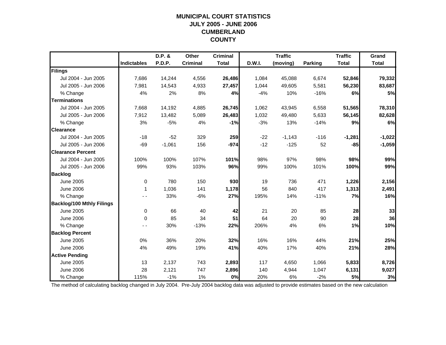## **MUNICIPAL COURT STATISTICSJULY 2005 - JUNE 2006 CUMBERLAND COUNTY**

|                                  |                    | D.P. &        | Other           | <b>Criminal</b> |        | <b>Traffic</b> |         | <b>Traffic</b> | Grand        |
|----------------------------------|--------------------|---------------|-----------------|-----------------|--------|----------------|---------|----------------|--------------|
|                                  | <b>Indictables</b> | <b>P.D.P.</b> | <b>Criminal</b> | <b>Total</b>    | D.W.I. | (moving)       | Parking | <b>Total</b>   | <b>Total</b> |
| Filings                          |                    |               |                 |                 |        |                |         |                |              |
| Jul 2004 - Jun 2005              | 7,686              | 14,244        | 4,556           | 26,486          | 1,084  | 45,088         | 6,674   | 52,846         | 79,332       |
| Jul 2005 - Jun 2006              | 7,981              | 14,543        | 4,933           | 27,457          | 1,044  | 49,605         | 5,581   | 56,230         | 83,687       |
| % Change                         | 4%                 | 2%            | 8%              | 4%              | $-4%$  | 10%            | $-16%$  | 6%             | 5%           |
| <b>Terminations</b>              |                    |               |                 |                 |        |                |         |                |              |
| Jul 2004 - Jun 2005              | 7,668              | 14,192        | 4,885           | 26,745          | 1,062  | 43,945         | 6,558   | 51,565         | 78,310       |
| Jul 2005 - Jun 2006              | 7,912              | 13,482        | 5,089           | 26,483          | 1,032  | 49,480         | 5,633   | 56,145         | 82,628       |
| % Change                         | 3%                 | $-5%$         | 4%              | $-1%$           | $-3%$  | 13%            | $-14%$  | 9%             | 6%           |
| <b>Clearance</b>                 |                    |               |                 |                 |        |                |         |                |              |
| Jul 2004 - Jun 2005              | $-18$              | $-52$         | 329             | 259             | $-22$  | $-1,143$       | $-116$  | $-1,281$       | $-1,022$     |
| Jul 2005 - Jun 2006              | $-69$              | $-1,061$      | 156             | $-974$          | $-12$  | $-125$         | 52      | $-85$          | $-1,059$     |
| <b>Clearance Percent</b>         |                    |               |                 |                 |        |                |         |                |              |
| Jul 2004 - Jun 2005              | 100%               | 100%          | 107%            | 101%            | 98%    | 97%            | 98%     | 98%            | 99%          |
| Jul 2005 - Jun 2006              | 99%                | 93%           | 103%            | 96%             | 99%    | 100%           | 101%    | 100%           | 99%          |
| <b>Backlog</b>                   |                    |               |                 |                 |        |                |         |                |              |
| <b>June 2005</b>                 | $\mathbf 0$        | 780           | 150             | 930             | 19     | 736            | 471     | 1,226          | 2,156        |
| <b>June 2006</b>                 | 1                  | 1,036         | 141             | 1,178           | 56     | 840            | 417     | 1,313          | 2,491        |
| % Change                         | - -                | 33%           | $-6%$           | 27%             | 195%   | 14%            | $-11%$  | 7%             | 16%          |
| <b>Backlog/100 Mthly Filings</b> |                    |               |                 |                 |        |                |         |                |              |
| <b>June 2005</b>                 | $\mathbf 0$        | 66            | 40              | 42              | 21     | 20             | 85      | 28             | 33           |
| <b>June 2006</b>                 | $\Omega$           | 85            | 34              | 51              | 64     | 20             | 90      | 28             | 36           |
| % Change                         |                    | 30%           | $-13%$          | 22%             | 206%   | 4%             | 6%      | 1%             | 10%          |
| <b>Backlog Percent</b>           |                    |               |                 |                 |        |                |         |                |              |
| <b>June 2005</b>                 | 0%                 | 36%           | 20%             | 32%             | 16%    | 16%            | 44%     | 21%            | 25%          |
| <b>June 2006</b>                 | 4%                 | 49%           | 19%             | 41%             | 40%    | 17%            | 40%     | 21%            | 28%          |
| <b>Active Pending</b>            |                    |               |                 |                 |        |                |         |                |              |
| <b>June 2005</b>                 | 13                 | 2,137         | 743             | 2,893           | 117    | 4,650          | 1.066   | 5,833          | 8,726        |
| <b>June 2006</b>                 | 28                 | 2,121         | 747             | 2,896           | 140    | 4,944          | 1,047   | 6,131          | 9,027        |
| % Change                         | 115%               | $-1%$         | 1%              | 0%              | 20%    | 6%             | $-2%$   | 5%             | 3%           |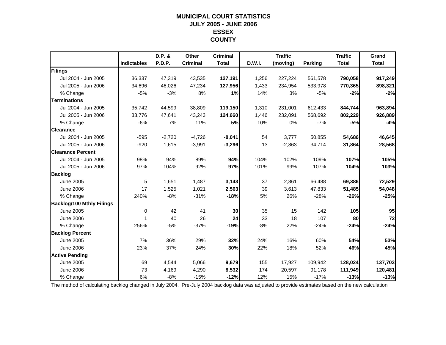## **MUNICIPAL COURT STATISTICSJULY 2005 - JUNE 2006 ESSEX COUNTY**

|                                  |                    | D.P. &   | Other           | <b>Criminal</b> |        | <b>Traffic</b> |                | <b>Traffic</b> | Grand        |
|----------------------------------|--------------------|----------|-----------------|-----------------|--------|----------------|----------------|----------------|--------------|
|                                  | <b>Indictables</b> | P.D.P.   | <b>Criminal</b> | <b>Total</b>    | D.W.I. | (moving)       | <b>Parking</b> | <b>Total</b>   | <b>Total</b> |
| Filings                          |                    |          |                 |                 |        |                |                |                |              |
| Jul 2004 - Jun 2005              | 36,337             | 47,319   | 43,535          | 127,191         | 1,256  | 227,224        | 561,578        | 790,058        | 917,249      |
| Jul 2005 - Jun 2006              | 34,696             | 46,026   | 47,234          | 127,956         | 1,433  | 234,954        | 533,978        | 770,365        | 898,321      |
| % Change                         | $-5%$              | $-3%$    | 8%              | 1%              | 14%    | 3%             | $-5%$          | $-2%$          | $-2%$        |
| <b>Terminations</b>              |                    |          |                 |                 |        |                |                |                |              |
| Jul 2004 - Jun 2005              | 35,742             | 44,599   | 38,809          | 119,150         | 1,310  | 231,001        | 612,433        | 844,744        | 963,894      |
| Jul 2005 - Jun 2006              | 33,776             | 47,641   | 43,243          | 124,660         | 1,446  | 232,091        | 568,692        | 802,229        | 926,889      |
| % Change                         | $-6%$              | 7%       | 11%             | <b>5%</b>       | 10%    | 0%             | $-7%$          | $-5%$          | $-4%$        |
| <b>Clearance</b>                 |                    |          |                 |                 |        |                |                |                |              |
| Jul 2004 - Jun 2005              | $-595$             | $-2,720$ | $-4,726$        | $-8,041$        | 54     | 3,777          | 50,855         | 54,686         | 46,645       |
| Jul 2005 - Jun 2006              | $-920$             | 1,615    | $-3,991$        | $-3,296$        | 13     | $-2,863$       | 34,714         | 31,864         | 28,568       |
| <b>Clearance Percent</b>         |                    |          |                 |                 |        |                |                |                |              |
| Jul 2004 - Jun 2005              | 98%                | 94%      | 89%             | 94%             | 104%   | 102%           | 109%           | 107%           | 105%         |
| Jul 2005 - Jun 2006              | 97%                | 104%     | 92%             | 97%             | 101%   | 99%            | 107%           | 104%           | 103%         |
| <b>Backlog</b>                   |                    |          |                 |                 |        |                |                |                |              |
| <b>June 2005</b>                 | 5                  | 1,651    | 1,487           | 3,143           | 37     | 2,861          | 66,488         | 69,386         | 72,529       |
| <b>June 2006</b>                 | 17                 | 1,525    | 1,021           | 2,563           | 39     | 3,613          | 47,833         | 51,485         | 54,048       |
| % Change                         | 240%               | $-8%$    | $-31%$          | $-18%$          | 5%     | 26%            | $-28%$         | $-26%$         | $-25%$       |
| <b>Backlog/100 Mthly Filings</b> |                    |          |                 |                 |        |                |                |                |              |
| <b>June 2005</b>                 | 0                  | 42       | 41              | 30              | 35     | 15             | 142            | 105            | 95           |
| <b>June 2006</b>                 | 1                  | 40       | 26              | 24              | 33     | 18             | 107            | 80             | 72           |
| % Change                         | 256%               | $-5%$    | $-37%$          | $-19%$          | $-8%$  | 22%            | $-24%$         | $-24%$         | $-24%$       |
| <b>Backlog Percent</b>           |                    |          |                 |                 |        |                |                |                |              |
| <b>June 2005</b>                 | 7%                 | 36%      | 29%             | 32%             | 24%    | 16%            | 60%            | 54%            | 53%          |
| <b>June 2006</b>                 | 23%                | 37%      | 24%             | 30%             | 22%    | 18%            | 52%            | 46%            | 45%          |
| <b>Active Pending</b>            |                    |          |                 |                 |        |                |                |                |              |
| <b>June 2005</b>                 | 69                 | 4,544    | 5,066           | 9,679           | 155    | 17,927         | 109,942        | 128,024        | 137,703      |
| <b>June 2006</b>                 | 73                 | 4,169    | 4,290           | 8,532           | 174    | 20,597         | 91,178         | 111,949        | 120,481      |
| % Change                         | 6%                 | $-8%$    | $-15%$          | $-12%$          | 12%    | 15%            | $-17%$         | $-13%$         | $-13%$       |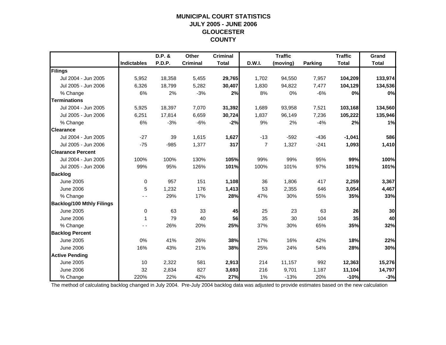## **MUNICIPAL COURT STATISTICSJULY 2005 - JUNE 2006 GLOUCESTER COUNTY**

|                                  |                    | D.P. & | Other           | <b>Criminal</b> |                | <b>Traffic</b> |                | <b>Traffic</b> | Grand        |
|----------------------------------|--------------------|--------|-----------------|-----------------|----------------|----------------|----------------|----------------|--------------|
|                                  | <b>Indictables</b> | P.D.P. | <b>Criminal</b> | <b>Total</b>    | D.W.I.         | (moving)       | <b>Parking</b> | <b>Total</b>   | <b>Total</b> |
| Filings                          |                    |        |                 |                 |                |                |                |                |              |
| Jul 2004 - Jun 2005              | 5,952              | 18,358 | 5,455           | 29,765          | 1,702          | 94,550         | 7,957          | 104,209        | 133,974      |
| Jul 2005 - Jun 2006              | 6,326              | 18,799 | 5,282           | 30,407          | 1,830          | 94,822         | 7,477          | 104,129        | 134,536      |
| % Change                         | 6%                 | 2%     | $-3%$           | 2%              | 8%             | 0%             | $-6%$          | 0%             | 0%           |
| <b>Terminations</b>              |                    |        |                 |                 |                |                |                |                |              |
| Jul 2004 - Jun 2005              | 5,925              | 18,397 | 7,070           | 31,392          | 1,689          | 93,958         | 7,521          | 103,168        | 134,560      |
| Jul 2005 - Jun 2006              | 6,251              | 17,814 | 6,659           | 30,724          | 1,837          | 96,149         | 7,236          | 105,222        | 135,946      |
| % Change                         | 6%                 | $-3%$  | $-6%$           | $-2%$           | 9%             | 2%             | $-4%$          | 2%             | 1%           |
| <b>Clearance</b>                 |                    |        |                 |                 |                |                |                |                |              |
| Jul 2004 - Jun 2005              | $-27$              | 39     | 1,615           | 1,627           | $-13$          | $-592$         | $-436$         | $-1,041$       | 586          |
| Jul 2005 - Jun 2006              | $-75$              | $-985$ | 1,377           | 317             | $\overline{7}$ | 1,327          | $-241$         | 1,093          | 1,410        |
| <b>Clearance Percent</b>         |                    |        |                 |                 |                |                |                |                |              |
| Jul 2004 - Jun 2005              | 100%               | 100%   | 130%            | 105%            | 99%            | 99%            | 95%            | 99%            | 100%         |
| Jul 2005 - Jun 2006              | 99%                | 95%    | 126%            | 101%            | 100%           | 101%           | 97%            | 101%           | 101%         |
| <b>Backlog</b>                   |                    |        |                 |                 |                |                |                |                |              |
| <b>June 2005</b>                 | $\mathbf 0$        | 957    | 151             | 1,108           | 36             | 1,806          | 417            | 2,259          | 3,367        |
| <b>June 2006</b>                 | 5                  | 1,232  | 176             | 1,413           | 53             | 2,355          | 646            | 3,054          | 4,467        |
| % Change                         |                    | 29%    | 17%             | 28%             | 47%            | 30%            | 55%            | 35%            | 33%          |
| <b>Backlog/100 Mthly Filings</b> |                    |        |                 |                 |                |                |                |                |              |
| June 2005                        | $\mathbf 0$        | 63     | 33              | 45              | 25             | 23             | 63             | 26             | 30           |
| <b>June 2006</b>                 | 1                  | 79     | 40              | 56              | 35             | 30             | 104            | 35             | 40           |
| % Change                         | - -                | 26%    | 20%             | 25%             | 37%            | 30%            | 65%            | 35%            | 32%          |
| <b>Backlog Percent</b>           |                    |        |                 |                 |                |                |                |                |              |
| <b>June 2005</b>                 | 0%                 | 41%    | 26%             | 38%             | 17%            | 16%            | 42%            | 18%            | 22%          |
| <b>June 2006</b>                 | 16%                | 43%    | 21%             | 38%             | 25%            | 24%            | 54%            | 28%            | 30%          |
| <b>Active Pending</b>            |                    |        |                 |                 |                |                |                |                |              |
| June 2005                        | 10                 | 2,322  | 581             | 2,913           | 214            | 11,157         | 992            | 12,363         | 15,276       |
| <b>June 2006</b>                 | 32                 | 2,834  | 827             | 3,693           | 216            | 9,701          | 1,187          | 11,104         | 14,797       |
| % Change                         | 220%               | 22%    | 42%             | 27%             | 1%             | $-13%$         | 20%            | $-10%$         | $-3%$        |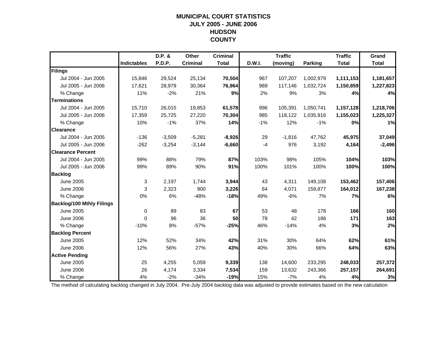#### **MUNICIPAL COURT STATISTICS JULY 2005 - JUNE 2006 HUDSON COUNTY**

|                                  |                    | D.P. &   | Other           | <b>Criminal</b> |               | <b>Traffic</b> |           | <b>Traffic</b> | Grand        |
|----------------------------------|--------------------|----------|-----------------|-----------------|---------------|----------------|-----------|----------------|--------------|
|                                  | <b>Indictables</b> | P.D.P.   | <b>Criminal</b> | <b>Total</b>    | <b>D.W.I.</b> | (moving)       | Parking   | <b>Total</b>   | <b>Total</b> |
| Filings                          |                    |          |                 |                 |               |                |           |                |              |
| Jul 2004 - Jun 2005              | 15,846             | 29,524   | 25,134          | 70,504          | 967           | 107,207        | 1,002,979 | 1,111,153      | 1,181,657    |
| Jul 2005 - Jun 2006              | 17,621             | 28,979   | 30,364          | 76,964          | 989           | 117,146        | 1,032,724 | 1,150,859      | 1,227,823    |
| % Change                         | 11%                | $-2%$    | 21%             | 9%              | 2%            | 9%             | 3%        | 4%             | 4%           |
| <b>Terminations</b>              |                    |          |                 |                 |               |                |           |                |              |
| Jul 2004 - Jun 2005              | 15,710             | 26,015   | 19,853          | 61,578          | 996           | 105,391        | 1,050,741 | 1,157,128      | 1,218,706    |
| Jul 2005 - Jun 2006              | 17,359             | 25,725   | 27,220          | 70,304          | 985           | 118,122        | 1,035,916 | 1,155,023      | 1,225,327    |
| % Change                         | 10%                | $-1%$    | 37%             | 14%             | $-1%$         | 12%            | $-1%$     | 0%             | 1%           |
| <b>Clearance</b>                 |                    |          |                 |                 |               |                |           |                |              |
| Jul 2004 - Jun 2005              | $-136$             | $-3,509$ | $-5,281$        | $-8,926$        | 29            | $-1,816$       | 47,762    | 45,975         | 37,049       |
| Jul 2005 - Jun 2006              | $-262$             | $-3,254$ | $-3,144$        | $-6,660$        | $-4$          | 976            | 3,192     | 4,164          | $-2,496$     |
| <b>Clearance Percent</b>         |                    |          |                 |                 |               |                |           |                |              |
| Jul 2004 - Jun 2005              | 99%                | 88%      | 79%             | 87%             | 103%          | 98%            | 105%      | 104%           | 103%         |
| Jul 2005 - Jun 2006              | 99%                | 89%      | 90%             | 91%             | 100%          | 101%           | 100%      | 100%           | 100%         |
| <b>Backlog</b>                   |                    |          |                 |                 |               |                |           |                |              |
| <b>June 2005</b>                 | 3                  | 2,197    | 1,744           | 3,944           | 43            | 4,311          | 149,108   | 153,462        | 157,406      |
| <b>June 2006</b>                 | 3                  | 2,323    | 900             | 3,226           | 64            | 4,071          | 159,877   | 164,012        | 167,238      |
| % Change                         | 0%                 | 6%       | $-48%$          | $-18%$          | 49%           | $-6%$          | 7%        | 7%             | 6%           |
| <b>Backlog/100 Mthly Filings</b> |                    |          |                 |                 |               |                |           |                |              |
| <b>June 2005</b>                 | $\mathbf 0$        | 89       | 83              | 67              | 53            | 48             | 178       | 166            | 160          |
| <b>June 2006</b>                 | $\Omega$           | 96       | 36              | 50              | 78            | 42             | 186       | 171            | 163          |
| % Change                         | $-10%$             | 8%       | $-57%$          | $-25%$          | 46%           | $-14%$         | 4%        | 3%             | 2%           |
| <b>Backlog Percent</b>           |                    |          |                 |                 |               |                |           |                |              |
| <b>June 2005</b>                 | 12%                | 52%      | 34%             | 42%             | 31%           | 30%            | 64%       | 62%            | 61%          |
| <b>June 2006</b>                 | 12%                | 56%      | 27%             | 43%             | 40%           | 30%            | 66%       | 64%            | 63%          |
| <b>Active Pending</b>            |                    |          |                 |                 |               |                |           |                |              |
| <b>June 2005</b>                 | 25                 | 4,255    | 5,059           | 9,339           | 138           | 14,600         | 233,295   | 248,033        | 257,372      |
| <b>June 2006</b>                 | 26                 | 4,174    | 3,334           | 7,534           | 159           | 13,632         | 243,366   | 257,157        | 264,691      |
| % Change                         | 4%                 | $-2%$    | $-34%$          | $-19%$          | 15%           | $-7%$          | 4%        | 4%             | 3%           |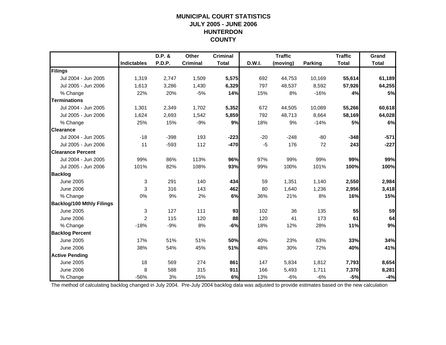## **MUNICIPAL COURT STATISTICSJULY 2005 - JUNE 2006 HUNTERDON COUNTY**

|                                  |                    | D.P. &        | <b>Other</b>    | <b>Criminal</b> |        | <b>Traffic</b> |                | <b>Traffic</b> | Grand        |
|----------------------------------|--------------------|---------------|-----------------|-----------------|--------|----------------|----------------|----------------|--------------|
|                                  | <b>Indictables</b> | <b>P.D.P.</b> | <b>Criminal</b> | <b>Total</b>    | D.W.I. | (moving)       | <b>Parking</b> | <b>Total</b>   | <b>Total</b> |
| Filings                          |                    |               |                 |                 |        |                |                |                |              |
| Jul 2004 - Jun 2005              | 1,319              | 2,747         | 1,509           | 5,575           | 692    | 44,753         | 10,169         | 55,614         | 61,189       |
| Jul 2005 - Jun 2006              | 1,613              | 3,286         | 1,430           | 6,329           | 797    | 48,537         | 8,592          | 57,926         | 64,255       |
| % Change                         | 22%                | 20%           | $-5%$           | 14%             | 15%    | 8%             | $-16%$         | 4%             | 5%           |
| <b>Terminations</b>              |                    |               |                 |                 |        |                |                |                |              |
| Jul 2004 - Jun 2005              | 1,301              | 2,349         | 1,702           | 5,352           | 672    | 44,505         | 10,089         | 55,266         | 60,618       |
| Jul 2005 - Jun 2006              | 1,624              | 2,693         | 1,542           | 5,859           | 792    | 48,713         | 8,664          | 58,169         | 64,028       |
| % Change                         | 25%                | 15%           | $-9%$           | 9%              | 18%    | 9%             | $-14%$         | 5%             | 6%           |
| <b>Clearance</b>                 |                    |               |                 |                 |        |                |                |                |              |
| Jul 2004 - Jun 2005              | $-18$              | $-398$        | 193             | $-223$          | $-20$  | $-248$         | $-80$          | $-348$         | $-571$       |
| Jul 2005 - Jun 2006              | 11                 | $-593$        | 112             | $-470$          | $-5$   | 176            | 72             | 243            | $-227$       |
| <b>Clearance Percent</b>         |                    |               |                 |                 |        |                |                |                |              |
| Jul 2004 - Jun 2005              | 99%                | 86%           | 113%            | 96%             | 97%    | 99%            | 99%            | 99%            | 99%          |
| Jul 2005 - Jun 2006              | 101%               | 82%           | 108%            | 93%             | 99%    | 100%           | 101%           | 100%           | 100%         |
| <b>Backlog</b>                   |                    |               |                 |                 |        |                |                |                |              |
| <b>June 2005</b>                 | 3                  | 291           | 140             | 434             | 59     | 1,351          | 1,140          | 2,550          | 2,984        |
| <b>June 2006</b>                 | 3                  | 316           | 143             | 462             | 80     | 1,640          | 1,236          | 2,956          | 3,418        |
| % Change                         | 0%                 | 9%            | 2%              | 6%              | 36%    | 21%            | 8%             | 16%            | 15%          |
| <b>Backlog/100 Mthly Filings</b> |                    |               |                 |                 |        |                |                |                |              |
| June 2005                        | $\mathbf{3}$       | 127           | 111             | 93              | 102    | 36             | 135            | 55             | 59           |
| <b>June 2006</b>                 | $\overline{2}$     | 115           | 120             | 88              | 120    | 41             | 173            | 61             | 64           |
| % Change                         | $-18%$             | $-9%$         | 8%              | $-6%$           | 18%    | 12%            | 28%            | 11%            | 9%           |
| <b>Backlog Percent</b>           |                    |               |                 |                 |        |                |                |                |              |
| <b>June 2005</b>                 | 17%                | 51%           | 51%             | 50%             | 40%    | 23%            | 63%            | 33%            | 34%          |
| <b>June 2006</b>                 | 38%                | 54%           | 45%             | 51%             | 48%    | 30%            | 72%            | 40%            | 41%          |
| <b>Active Pending</b>            |                    |               |                 |                 |        |                |                |                |              |
| <b>June 2005</b>                 | 18                 | 569           | 274             | 861             | 147    | 5,834          | 1,812          | 7,793          | 8,654        |
| <b>June 2006</b>                 | 8                  | 588           | 315             | 911             | 166    | 5,493          | 1,711          | 7,370          | 8,281        |
| % Change                         | $-56%$             | 3%            | 15%             | 6%              | 13%    | $-6%$          | $-6%$          | $-5%$          | $-4%$        |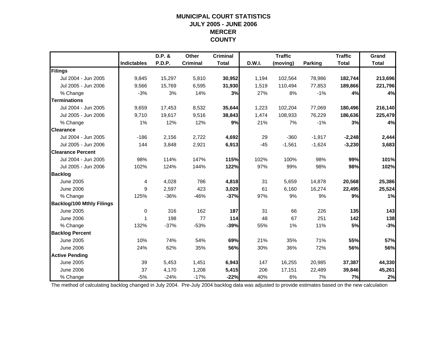## **MUNICIPAL COURT STATISTICSJULY 2005 - JUNE 2006 MERCER COUNTY**

|                                  |                    | D.P. &        | <b>Other</b>    | <b>Criminal</b> |        | <b>Traffic</b> |                | <b>Traffic</b> | Grand        |
|----------------------------------|--------------------|---------------|-----------------|-----------------|--------|----------------|----------------|----------------|--------------|
|                                  | <b>Indictables</b> | <b>P.D.P.</b> | <b>Criminal</b> | <b>Total</b>    | D.W.I. | (moving)       | <b>Parking</b> | <b>Total</b>   | <b>Total</b> |
| Filings                          |                    |               |                 |                 |        |                |                |                |              |
| Jul 2004 - Jun 2005              | 9,845              | 15,297        | 5,810           | 30,952          | 1,194  | 102,564        | 78,986         | 182,744        | 213,696      |
| Jul 2005 - Jun 2006              | 9,566              | 15,769        | 6,595           | 31,930          | 1,519  | 110,494        | 77,853         | 189,866        | 221,796      |
| % Change                         | $-3%$              | 3%            | 14%             | 3%              | 27%    | 8%             | $-1%$          | 4%             | 4%           |
| <b>Terminations</b>              |                    |               |                 |                 |        |                |                |                |              |
| Jul 2004 - Jun 2005              | 9,659              | 17,453        | 8,532           | 35,644          | 1,223  | 102,204        | 77,069         | 180,496        | 216,140      |
| Jul 2005 - Jun 2006              | 9,710              | 19,617        | 9,516           | 38,843          | 1,474  | 108,933        | 76,229         | 186,636        | 225,479      |
| % Change                         | 1%                 | 12%           | 12%             | 9%              | 21%    | 7%             | $-1%$          | 3%             | 4%           |
| <b>Clearance</b>                 |                    |               |                 |                 |        |                |                |                |              |
| Jul 2004 - Jun 2005              | $-186$             | 2,156         | 2,722           | 4,692           | 29     | $-360$         | $-1,917$       | $-2,248$       | 2,444        |
| Jul 2005 - Jun 2006              | 144                | 3,848         | 2,921           | 6,913           | $-45$  | $-1,561$       | $-1,624$       | $-3,230$       | 3,683        |
| <b>Clearance Percent</b>         |                    |               |                 |                 |        |                |                |                |              |
| Jul 2004 - Jun 2005              | 98%                | 114%          | 147%            | 115%            | 102%   | 100%           | 98%            | 99%            | 101%         |
| Jul 2005 - Jun 2006              | 102%               | 124%          | 144%            | 122%            | 97%    | 99%            | 98%            | 98%            | 102%         |
| <b>Backlog</b>                   |                    |               |                 |                 |        |                |                |                |              |
| <b>June 2005</b>                 | 4                  | 4,028         | 786             | 4,818           | 31     | 5,659          | 14,878         | 20,568         | 25,386       |
| <b>June 2006</b>                 | 9                  | 2,597         | 423             | 3,029           | 61     | 6,160          | 16,274         | 22,495         | 25,524       |
| % Change                         | 125%               | $-36%$        | $-46%$          | $-37%$          | 97%    | 9%             | 9%             | 9%             | 1%           |
| <b>Backlog/100 Mthly Filings</b> |                    |               |                 |                 |        |                |                |                |              |
| June 2005                        | 0                  | 316           | 162             | 187             | 31     | 66             | 226            | 135            | 143          |
| <b>June 2006</b>                 | 1                  | 198           | 77              | 114             | 48     | 67             | 251            | 142            | 138          |
| % Change                         | 132%               | $-37%$        | $-53%$          | $-39%$          | 55%    | 1%             | 11%            | 5%             | $-3%$        |
| <b>Backlog Percent</b>           |                    |               |                 |                 |        |                |                |                |              |
| <b>June 2005</b>                 | 10%                | 74%           | 54%             | 69%             | 21%    | 35%            | 71%            | 55%            | 57%          |
| <b>June 2006</b>                 | 24%                | 62%           | 35%             | 56%             | 30%    | 36%            | 72%            | 56%            | 56%          |
| <b>Active Pending</b>            |                    |               |                 |                 |        |                |                |                |              |
| <b>June 2005</b>                 | 39                 | 5,453         | 1,451           | 6,943           | 147    | 16,255         | 20,985         | 37,387         | 44,330       |
| <b>June 2006</b>                 | 37                 | 4,170         | 1,208           | 5,415           | 206    | 17,151         | 22,489         | 39,846         | 45,261       |
| % Change                         | $-5%$              | $-24%$        | $-17%$          | $-22%$          | 40%    | 6%             | 7%             | 7%             | 2%           |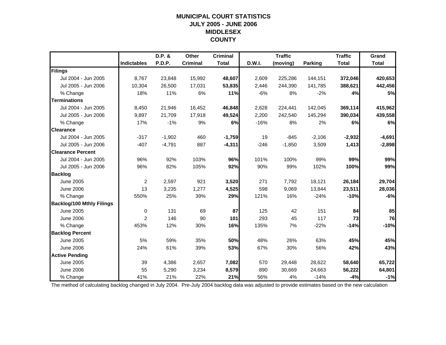## **MUNICIPAL COURT STATISTICSJULY 2005 - JUNE 2006 MIDDLESEX COUNTY**

|                                  |                    | D.P. &   | Other           | <b>Criminal</b> |        | <b>Traffic</b> |                | <b>Traffic</b> | Grand        |
|----------------------------------|--------------------|----------|-----------------|-----------------|--------|----------------|----------------|----------------|--------------|
|                                  | <b>Indictables</b> | P.D.P.   | <b>Criminal</b> | <b>Total</b>    | D.W.I. | (moving)       | <b>Parking</b> | <b>Total</b>   | <b>Total</b> |
| Filings                          |                    |          |                 |                 |        |                |                |                |              |
| Jul 2004 - Jun 2005              | 8,767              | 23,848   | 15,992          | 48,607          | 2,609  | 225,286        | 144,151        | 372,046        | 420,653      |
| Jul 2005 - Jun 2006              | 10,304             | 26,500   | 17,031          | 53,835          | 2,446  | 244,390        | 141,785        | 388,621        | 442,456      |
| % Change                         | 18%                | 11%      | 6%              | 11%             | $-6%$  | 8%             | $-2%$          | 4%             | 5%           |
| <b>Terminations</b>              |                    |          |                 |                 |        |                |                |                |              |
| Jul 2004 - Jun 2005              | 8.450              | 21,946   | 16,452          | 46,848          | 2,628  | 224,441        | 142,045        | 369,114        | 415,962      |
| Jul 2005 - Jun 2006              | 9,897              | 21,709   | 17,918          | 49,524          | 2,200  | 242,540        | 145,294        | 390,034        | 439,558      |
| % Change                         | 17%                | $-1%$    | 9%              | 6%              | $-16%$ | 8%             | 2%             | 6%             | 6%           |
| <b>Clearance</b>                 |                    |          |                 |                 |        |                |                |                |              |
| Jul 2004 - Jun 2005              | $-317$             | $-1,902$ | 460             | $-1,759$        | 19     | $-845$         | $-2,106$       | $-2,932$       | $-4,691$     |
| Jul 2005 - Jun 2006              | $-407$             | $-4,791$ | 887             | $-4,311$        | $-246$ | $-1,850$       | 3,509          | 1,413          | $-2,898$     |
| <b>Clearance Percent</b>         |                    |          |                 |                 |        |                |                |                |              |
| Jul 2004 - Jun 2005              | 96%                | 92%      | 103%            | 96%             | 101%   | 100%           | 99%            | 99%            | 99%          |
| Jul 2005 - Jun 2006              | 96%                | 82%      | 105%            | 92%             | 90%    | 99%            | 102%           | 100%           | 99%          |
| <b>Backlog</b>                   |                    |          |                 |                 |        |                |                |                |              |
| <b>June 2005</b>                 | $\overline{c}$     | 2,597    | 921             | 3,520           | 271    | 7,792          | 18,121         | 26,184         | 29,704       |
| <b>June 2006</b>                 | 13                 | 3,235    | 1,277           | 4,525           | 598    | 9,069          | 13,844         | 23,511         | 28,036       |
| % Change                         | 550%               | 25%      | 39%             | 29%             | 121%   | 16%            | $-24%$         | $-10%$         | $-6%$        |
| <b>Backlog/100 Mthly Filings</b> |                    |          |                 |                 |        |                |                |                |              |
| <b>June 2005</b>                 | $\mathbf 0$        | 131      | 69              | 87              | 125    | 42             | 151            | 84             | 85           |
| <b>June 2006</b>                 | 2                  | 146      | 90              | 101             | 293    | 45             | 117            | 73             | 76           |
| % Change                         | 453%               | 12%      | 30%             | 16%             | 135%   | 7%             | $-22%$         | $-14%$         | $-10%$       |
| <b>Backlog Percent</b>           |                    |          |                 |                 |        |                |                |                |              |
| <b>June 2005</b>                 | 5%                 | 59%      | 35%             | 50%             | 48%    | 26%            | 63%            | 45%            | 45%          |
| <b>June 2006</b>                 | 24%                | 61%      | 39%             | 53%             | 67%    | 30%            | 56%            | 42%            | 43%          |
| <b>Active Pending</b>            |                    |          |                 |                 |        |                |                |                |              |
| <b>June 2005</b>                 | 39                 | 4,386    | 2,657           | 7,082           | 570    | 29,448         | 28,622         | 58,640         | 65,722       |
| <b>June 2006</b>                 | 55                 | 5,290    | 3,234           | 8,579           | 890    | 30,669         | 24,663         | 56,222         | 64,801       |
| % Change                         | 41%                | 21%      | 22%             | 21%             | 56%    | 4%             | $-14%$         | $-4%$          | $-1%$        |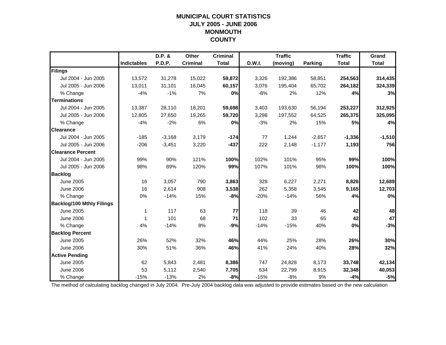## **MUNICIPAL COURT STATISTICSJULY 2005 - JUNE 2006 MONMOUTH COUNTY**

|                                  |                    | D.P. &   | Other           | <b>Criminal</b> |        | <b>Traffic</b> |                | <b>Traffic</b> | Grand        |
|----------------------------------|--------------------|----------|-----------------|-----------------|--------|----------------|----------------|----------------|--------------|
|                                  | <b>Indictables</b> | P.D.P.   | <b>Criminal</b> | <b>Total</b>    | D.W.I. | (moving)       | <b>Parking</b> | <b>Total</b>   | <b>Total</b> |
| Filings                          |                    |          |                 |                 |        |                |                |                |              |
| Jul 2004 - Jun 2005              | 13,572             | 31,278   | 15,022          | 59,872          | 3,326  | 192,386        | 58,851         | 254,563        | 314,435      |
| Jul 2005 - Jun 2006              | 13,011             | 31,101   | 16,045          | 60,157          | 3,076  | 195,404        | 65,702         | 264,182        | 324,339      |
| % Change                         | $-4%$              | $-1%$    | 7%              | 0%              | $-8%$  | 2%             | 12%            | 4%             | 3%           |
| <b>Terminations</b>              |                    |          |                 |                 |        |                |                |                |              |
| Jul 2004 - Jun 2005              | 13,387             | 28,110   | 18,201          | 59,698          | 3,403  | 193,630        | 56,194         | 253,227        | 312,925      |
| Jul 2005 - Jun 2006              | 12,805             | 27,650   | 19,265          | 59,720          | 3,298  | 197,552        | 64,525         | 265,375        | 325,095      |
| % Change                         | $-4%$              | $-2%$    | 6%              | 0%              | $-3%$  | 2%             | 15%            | 5%             | 4%           |
| <b>Clearance</b>                 |                    |          |                 |                 |        |                |                |                |              |
| Jul 2004 - Jun 2005              | $-185$             | $-3,168$ | 3,179           | $-174$          | 77     | 1,244          | $-2,657$       | $-1,336$       | $-1,510$     |
| Jul 2005 - Jun 2006              | $-206$             | $-3,451$ | 3,220           | $-437$          | 222    | 2,148          | $-1,177$       | 1,193          | 756          |
| <b>Clearance Percent</b>         |                    |          |                 |                 |        |                |                |                |              |
| Jul 2004 - Jun 2005              | 99%                | 90%      | 121%            | 100%            | 102%   | 101%           | 95%            | 99%            | 100%         |
| Jul 2005 - Jun 2006              | 98%                | 89%      | 120%            | 99%             | 107%   | 101%           | 98%            | 100%           | 100%         |
| <b>Backlog</b>                   |                    |          |                 |                 |        |                |                |                |              |
| June 2005                        | 16                 | 3,057    | 790             | 3,863           | 328    | 6,227          | 2,271          | 8,826          | 12,689       |
| <b>June 2006</b>                 | 16                 | 2,614    | 908             | 3,538           | 262    | 5,358          | 3,545          | 9,165          | 12,703       |
| % Change                         | 0%                 | $-14%$   | 15%             | $-8%$           | $-20%$ | $-14%$         | 56%            | 4%             | 0%           |
| <b>Backlog/100 Mthly Filings</b> |                    |          |                 |                 |        |                |                |                |              |
| June 2005                        | 1                  | 117      | 63              | 77              | 118    | 39             | 46             | 42             | 48           |
| <b>June 2006</b>                 | 1                  | 101      | 68              | 71              | 102    | 33             | 65             | 42             | 47           |
| % Change                         | 4%                 | $-14%$   | 8%              | $-9%$           | $-14%$ | $-15%$         | 40%            | 0%             | $-3%$        |
| <b>Backlog Percent</b>           |                    |          |                 |                 |        |                |                |                |              |
| <b>June 2005</b>                 | 26%                | 52%      | 32%             | 46%             | 44%    | 25%            | 28%            | 26%            | 30%          |
| <b>June 2006</b>                 | 30%                | 51%      | 36%             | 46%             | 41%    | 24%            | 40%            | 28%            | 32%          |
| <b>Active Pending</b>            |                    |          |                 |                 |        |                |                |                |              |
| <b>June 2005</b>                 | 62                 | 5.843    | 2,481           | 8,386           | 747    | 24,828         | 8,173          | 33,748         | 42,134       |
| <b>June 2006</b>                 | 53                 | 5,112    | 2,540           | 7,705           | 634    | 22,799         | 8,915          | 32,348         | 40,053       |
| % Change                         | $-15%$             | $-13%$   | 2%              | $-8%$           | $-15%$ | $-8%$          | 9%             | $-4%$          | $-5%$        |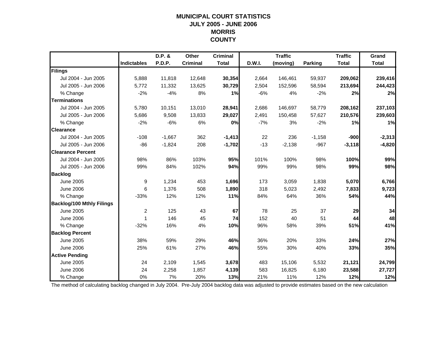#### **MUNICIPAL COURT STATISTICS JULY 2005 - JUNE 2006 MORRIS COUNTY**

|                                  |                    | $D.P.$ & | Other           | <b>Criminal</b> |               | <b>Traffic</b> |                | <b>Traffic</b> | Grand        |
|----------------------------------|--------------------|----------|-----------------|-----------------|---------------|----------------|----------------|----------------|--------------|
|                                  | <b>Indictables</b> | P.D.P.   | <b>Criminal</b> | <b>Total</b>    | <b>D.W.I.</b> | (moving)       | <b>Parking</b> | <b>Total</b>   | <b>Total</b> |
| Filings                          |                    |          |                 |                 |               |                |                |                |              |
| Jul 2004 - Jun 2005              | 5,888              | 11,818   | 12,648          | 30,354          | 2,664         | 146,461        | 59,937         | 209,062        | 239,416      |
| Jul 2005 - Jun 2006              | 5,772              | 11,332   | 13,625          | 30,729          | 2,504         | 152,596        | 58,594         | 213,694        | 244,423      |
| % Change                         | $-2%$              | $-4%$    | 8%              | 1%              | $-6%$         | 4%             | $-2%$          | 2%             | 2%           |
| <b>Terminations</b>              |                    |          |                 |                 |               |                |                |                |              |
| Jul 2004 - Jun 2005              | 5,780              | 10,151   | 13,010          | 28,941          | 2,686         | 146,697        | 58,779         | 208,162        | 237,103      |
| Jul 2005 - Jun 2006              | 5,686              | 9,508    | 13,833          | 29,027          | 2,491         | 150,458        | 57,627         | 210,576        | 239,603      |
| % Change                         | $-2%$              | $-6%$    | 6%              | 0%              | $-7%$         | 3%             | $-2%$          | 1%             | 1%           |
| <b>Clearance</b>                 |                    |          |                 |                 |               |                |                |                |              |
| Jul 2004 - Jun 2005              | $-108$             | $-1,667$ | 362             | $-1,413$        | 22            | 236            | $-1,158$       | $-900$         | $-2,313$     |
| Jul 2005 - Jun 2006              | $-86$              | $-1,824$ | 208             | $-1,702$        | $-13$         | $-2,138$       | $-967$         | $-3,118$       | $-4,820$     |
| <b>Clearance Percent</b>         |                    |          |                 |                 |               |                |                |                |              |
| Jul 2004 - Jun 2005              | 98%                | 86%      | 103%            | 95%             | 101%          | 100%           | 98%            | 100%           | 99%          |
| Jul 2005 - Jun 2006              | 99%                | 84%      | 102%            | 94%             | 99%           | 99%            | 98%            | 99%            | 98%          |
| <b>Backlog</b>                   |                    |          |                 |                 |               |                |                |                |              |
| <b>June 2005</b>                 | 9                  | 1,234    | 453             | 1,696           | 173           | 3,059          | 1,838          | 5,070          | 6,766        |
| <b>June 2006</b>                 | 6                  | 1,376    | 508             | 1,890           | 318           | 5,023          | 2,492          | 7,833          | 9,723        |
| % Change                         | $-33%$             | 12%      | 12%             | 11%             | 84%           | 64%            | 36%            | 54%            | 44%          |
| <b>Backlog/100 Mthly Filings</b> |                    |          |                 |                 |               |                |                |                |              |
| <b>June 2005</b>                 | $\overline{2}$     | 125      | 43              | 67              | 78            | 25             | 37             | 29             | 34           |
| <b>June 2006</b>                 | 1                  | 146      | 45              | 74              | 152           | 40             | 51             | 44             | 48           |
| % Change                         | $-32%$             | 16%      | 4%              | 10%             | 96%           | 58%            | 39%            | 51%            | 41%          |
| <b>Backlog Percent</b>           |                    |          |                 |                 |               |                |                |                |              |
| <b>June 2005</b>                 | 38%                | 59%      | 29%             | 46%             | 36%           | 20%            | 33%            | 24%            | 27%          |
| <b>June 2006</b>                 | 25%                | 61%      | 27%             | 46%             | 55%           | 30%            | 40%            | 33%            | 35%          |
| <b>Active Pending</b>            |                    |          |                 |                 |               |                |                |                |              |
| <b>June 2005</b>                 | 24                 | 2,109    | 1,545           | 3,678           | 483           | 15,106         | 5,532          | 21,121         | 24,799       |
| <b>June 2006</b>                 | 24                 | 2,258    | 1,857           | 4,139           | 583           | 16,825         | 6,180          | 23,588         | 27,727       |
| % Change                         | 0%                 | 7%       | 20%             | 13%             | 21%           | 11%            | 12%            | 12%            | 12%          |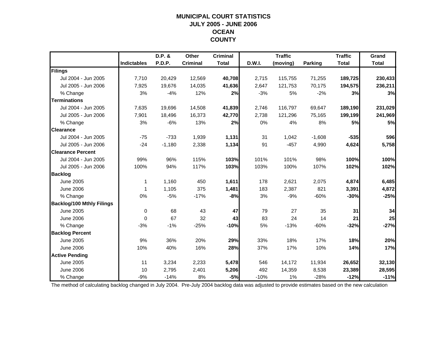## **MUNICIPAL COURT STATISTICSJULY 2005 - JUNE 2006 OCEAN COUNTY**

|                                  |                    | D.P. &   | Other           | <b>Criminal</b> |        | <b>Traffic</b> |          | <b>Traffic</b> | Grand        |
|----------------------------------|--------------------|----------|-----------------|-----------------|--------|----------------|----------|----------------|--------------|
|                                  | <b>Indictables</b> | P.D.P.   | <b>Criminal</b> | <b>Total</b>    | D.W.I. | (moving)       | Parking  | <b>Total</b>   | <b>Total</b> |
| Filings                          |                    |          |                 |                 |        |                |          |                |              |
| Jul 2004 - Jun 2005              | 7,710              | 20,429   | 12,569          | 40,708          | 2,715  | 115,755        | 71,255   | 189,725        | 230,433      |
| Jul 2005 - Jun 2006              | 7,925              | 19,676   | 14,035          | 41,636          | 2,647  | 121,753        | 70,175   | 194,575        | 236,211      |
| % Change                         | 3%                 | $-4%$    | 12%             | 2%              | $-3%$  | 5%             | $-2%$    | 3%             | 3%           |
| <b>Terminations</b>              |                    |          |                 |                 |        |                |          |                |              |
| Jul 2004 - Jun 2005              | 7,635              | 19,696   | 14,508          | 41,839          | 2,746  | 116,797        | 69,647   | 189,190        | 231,029      |
| Jul 2005 - Jun 2006              | 7,901              | 18,496   | 16,373          | 42,770          | 2,738  | 121,296        | 75,165   | 199,199        | 241,969      |
| % Change                         | 3%                 | $-6%$    | 13%             | 2%              | 0%     | 4%             | 8%       | 5%             | 5%           |
| <b>Clearance</b>                 |                    |          |                 |                 |        |                |          |                |              |
| Jul 2004 - Jun 2005              | $-75$              | $-733$   | 1,939           | 1,131           | 31     | 1,042          | $-1,608$ | $-535$         | 596          |
| Jul 2005 - Jun 2006              | $-24$              | $-1,180$ | 2,338           | 1,134           | 91     | $-457$         | 4,990    | 4,624          | 5,758        |
| <b>Clearance Percent</b>         |                    |          |                 |                 |        |                |          |                |              |
| Jul 2004 - Jun 2005              | 99%                | 96%      | 115%            | 103%            | 101%   | 101%           | 98%      | 100%           | 100%         |
| Jul 2005 - Jun 2006              | 100%               | 94%      | 117%            | 103%            | 103%   | 100%           | 107%     | 102%           | 102%         |
| <b>Backlog</b>                   |                    |          |                 |                 |        |                |          |                |              |
| <b>June 2005</b>                 | 1                  | 1,160    | 450             | 1,611           | 178    | 2,621          | 2,075    | 4,874          | 6,485        |
| <b>June 2006</b>                 | -1                 | 1,105    | 375             | 1,481           | 183    | 2,387          | 821      | 3,391          | 4,872        |
| % Change                         | 0%                 | $-5%$    | $-17%$          | $-8%$           | 3%     | $-9%$          | $-60%$   | $-30%$         | $-25%$       |
| <b>Backlog/100 Mthly Filings</b> |                    |          |                 |                 |        |                |          |                |              |
| June 2005                        | 0                  | 68       | 43              | 47              | 79     | 27             | 35       | 31             | 34           |
| <b>June 2006</b>                 | 0                  | 67       | 32              | 43              | 83     | 24             | 14       | 21             | 25           |
| % Change                         | $-3%$              | $-1%$    | $-25%$          | $-10%$          | 5%     | $-13%$         | $-60%$   | $-32%$         | $-27%$       |
| <b>Backlog Percent</b>           |                    |          |                 |                 |        |                |          |                |              |
| <b>June 2005</b>                 | 9%                 | 36%      | 20%             | 29%             | 33%    | 18%            | 17%      | 18%            | 20%          |
| <b>June 2006</b>                 | 10%                | 40%      | 16%             | 28%             | 37%    | 17%            | 10%      | 14%            | 17%          |
| <b>Active Pending</b>            |                    |          |                 |                 |        |                |          |                |              |
| <b>June 2005</b>                 | 11                 | 3,234    | 2,233           | 5,478           | 546    | 14,172         | 11,934   | 26,652         | 32,130       |
| <b>June 2006</b>                 | 10                 | 2,795    | 2,401           | 5,206           | 492    | 14,359         | 8,538    | 23,389         | 28,595       |
| % Change                         | $-9%$              | $-14%$   | 8%              | $-5%$           | $-10%$ | $1\%$          | $-28%$   | $-12%$         | $-11%$       |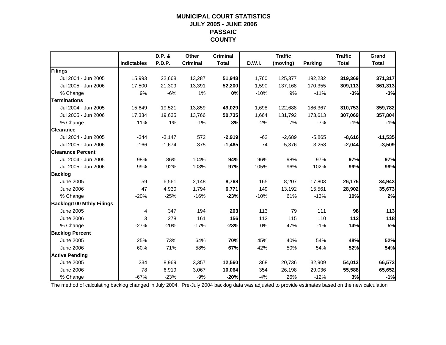## **MUNICIPAL COURT STATISTICSJULY 2005 - JUNE 2006 PASSAIC COUNTY**

|                                  |                    | D.P. &   | Other           | <b>Criminal</b> |        | <b>Traffic</b> |                | <b>Traffic</b> | Grand        |
|----------------------------------|--------------------|----------|-----------------|-----------------|--------|----------------|----------------|----------------|--------------|
|                                  | <b>Indictables</b> | P.D.P.   | <b>Criminal</b> | <b>Total</b>    | D.W.I. | (moving)       | <b>Parking</b> | <b>Total</b>   | <b>Total</b> |
| Filings                          |                    |          |                 |                 |        |                |                |                |              |
| Jul 2004 - Jun 2005              | 15,993             | 22,668   | 13,287          | 51,948          | 1,760  | 125,377        | 192,232        | 319,369        | 371,317      |
| Jul 2005 - Jun 2006              | 17,500             | 21,309   | 13,391          | 52,200          | 1,590  | 137,168        | 170,355        | 309,113        | 361,313      |
| % Change                         | 9%                 | $-6%$    | 1%              | 0%              | $-10%$ | 9%             | $-11%$         | $-3%$          | $-3%$        |
| <b>Terminations</b>              |                    |          |                 |                 |        |                |                |                |              |
| Jul 2004 - Jun 2005              | 15.649             | 19,521   | 13,859          | 49,029          | 1,698  | 122,688        | 186,367        | 310,753        | 359,782      |
| Jul 2005 - Jun 2006              | 17,334             | 19,635   | 13,766          | 50,735          | 1,664  | 131,792        | 173,613        | 307,069        | 357,804      |
| % Change                         | 11%                | 1%       | $-1%$           | 3%              | $-2%$  | 7%             | $-7%$          | $-1%$          | $-1%$        |
| <b>Clearance</b>                 |                    |          |                 |                 |        |                |                |                |              |
| Jul 2004 - Jun 2005              | $-344$             | $-3,147$ | 572             | $-2,919$        | $-62$  | $-2,689$       | $-5,865$       | $-8,616$       | $-11,535$    |
| Jul 2005 - Jun 2006              | $-166$             | $-1,674$ | 375             | $-1,465$        | 74     | $-5,376$       | 3,258          | $-2,044$       | $-3,509$     |
| <b>Clearance Percent</b>         |                    |          |                 |                 |        |                |                |                |              |
| Jul 2004 - Jun 2005              | 98%                | 86%      | 104%            | 94%             | 96%    | 98%            | 97%            | 97%            | 97%          |
| Jul 2005 - Jun 2006              | 99%                | 92%      | 103%            | 97%             | 105%   | 96%            | 102%           | 99%            | 99%          |
| <b>Backlog</b>                   |                    |          |                 |                 |        |                |                |                |              |
| <b>June 2005</b>                 | 59                 | 6,561    | 2,148           | 8,768           | 165    | 8,207          | 17,803         | 26,175         | 34,943       |
| <b>June 2006</b>                 | 47                 | 4,930    | 1,794           | 6,771           | 149    | 13,192         | 15,561         | 28,902         | 35,673       |
| % Change                         | $-20%$             | $-25%$   | $-16%$          | $-23%$          | $-10%$ | 61%            | $-13%$         | 10%            | 2%           |
| <b>Backlog/100 Mthly Filings</b> |                    |          |                 |                 |        |                |                |                |              |
| <b>June 2005</b>                 | 4                  | 347      | 194             | 203             | 113    | 79             | 111            | 98             | 113          |
| <b>June 2006</b>                 | 3                  | 278      | 161             | 156             | 112    | 115            | 110            | $112$          | 118          |
| % Change                         | $-27%$             | $-20%$   | $-17%$          | $-23%$          | 0%     | 47%            | $-1%$          | 14%            | 5%           |
| <b>Backlog Percent</b>           |                    |          |                 |                 |        |                |                |                |              |
| <b>June 2005</b>                 | 25%                | 73%      | 64%             | 70%             | 45%    | 40%            | 54%            | 48%            | 52%          |
| <b>June 2006</b>                 | 60%                | 71%      | 58%             | 67%             | 42%    | 50%            | 54%            | 52%            | 54%          |
| <b>Active Pending</b>            |                    |          |                 |                 |        |                |                |                |              |
| <b>June 2005</b>                 | 234                | 8,969    | 3,357           | 12,560          | 368    | 20,736         | 32,909         | 54,013         | 66,573       |
| <b>June 2006</b>                 | 78                 | 6,919    | 3,067           | 10,064          | 354    | 26,198         | 29,036         | 55,588         | 65,652       |
| % Change                         | $-67%$             | $-23%$   | $-9%$           | $-20%$          | $-4%$  | 26%            | $-12%$         | 3%             | $-1%$        |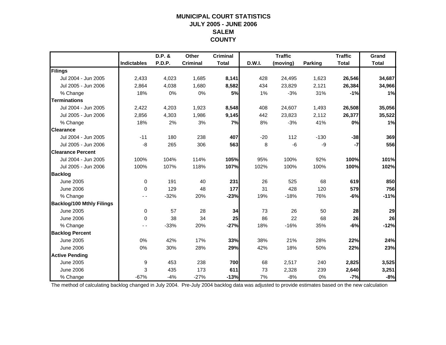## **MUNICIPAL COURT STATISTICSJULY 2005 - JUNE 2006 SALEMCOUNTY**

|                                  |                    | D.P. &        | Other           | <b>Criminal</b> |        | <b>Traffic</b> |         | <b>Traffic</b> | Grand        |
|----------------------------------|--------------------|---------------|-----------------|-----------------|--------|----------------|---------|----------------|--------------|
|                                  | <b>Indictables</b> | <b>P.D.P.</b> | <b>Criminal</b> | <b>Total</b>    | D.W.I. | (moving)       | Parking | <b>Total</b>   | <b>Total</b> |
| Filings                          |                    |               |                 |                 |        |                |         |                |              |
| Jul 2004 - Jun 2005              | 2,433              | 4,023         | 1,685           | 8,141           | 428    | 24,495         | 1,623   | 26,546         | 34,687       |
| Jul 2005 - Jun 2006              | 2,864              | 4,038         | 1,680           | 8,582           | 434    | 23,829         | 2,121   | 26,384         | 34,966       |
| % Change                         | 18%                | 0%            | 0%              | 5%              | 1%     | $-3%$          | 31%     | $-1%$          | 1%           |
| <b>Terminations</b>              |                    |               |                 |                 |        |                |         |                |              |
| Jul 2004 - Jun 2005              | 2,422              | 4,203         | 1,923           | 8,548           | 408    | 24,607         | 1,493   | 26,508         | 35,056       |
| Jul 2005 - Jun 2006              | 2,856              | 4,303         | 1,986           | 9,145           | 442    | 23,823         | 2,112   | 26,377         | 35,522       |
| % Change                         | 18%                | 2%            | 3%              | 7%              | 8%     | $-3%$          | 41%     | 0%             | 1%           |
| <b>Clearance</b>                 |                    |               |                 |                 |        |                |         |                |              |
| Jul 2004 - Jun 2005              | $-11$              | 180           | 238             | 407             | $-20$  | 112            | $-130$  | $-38$          | 369          |
| Jul 2005 - Jun 2006              | -8                 | 265           | 306             | 563             | 8      | $-6$           | -9      | $-7$           | 556          |
| <b>Clearance Percent</b>         |                    |               |                 |                 |        |                |         |                |              |
| Jul 2004 - Jun 2005              | 100%               | 104%          | 114%            | 105%            | 95%    | 100%           | 92%     | 100%           | 101%         |
| Jul 2005 - Jun 2006              | 100%               | 107%          | 118%            | 107%            | 102%   | 100%           | 100%    | 100%           | 102%         |
| <b>Backlog</b>                   |                    |               |                 |                 |        |                |         |                |              |
| <b>June 2005</b>                 | $\mathbf 0$        | 191           | 40              | 231             | 26     | 525            | 68      | 619            | 850          |
| <b>June 2006</b>                 | $\Omega$           | 129           | 48              | 177             | 31     | 428            | 120     | 579            | 756          |
| % Change                         |                    | $-32%$        | 20%             | $-23%$          | 19%    | $-18%$         | 76%     | $-6%$          | $-11%$       |
| <b>Backlog/100 Mthly Filings</b> |                    |               |                 |                 |        |                |         |                |              |
| <b>June 2005</b>                 | $\mathbf 0$        | 57            | 28              | 34              | 73     | 26             | 50      | 28             | 29           |
| <b>June 2006</b>                 | $\Omega$           | 38            | 34              | 25              | 86     | 22             | 68      | 26             | 26           |
| % Change                         |                    | $-33%$        | 20%             | $-27%$          | 18%    | $-16%$         | 35%     | $-6%$          | $-12%$       |
| <b>Backlog Percent</b>           |                    |               |                 |                 |        |                |         |                |              |
| <b>June 2005</b>                 | 0%                 | 42%           | 17%             | 33%             | 38%    | 21%            | 28%     | 22%            | 24%          |
| <b>June 2006</b>                 | 0%                 | 30%           | 28%             | 29%             | 42%    | 18%            | 50%     | 22%            | 23%          |
| <b>Active Pending</b>            |                    |               |                 |                 |        |                |         |                |              |
| <b>June 2005</b>                 | 9                  | 453           | 238             | 700             | 68     | 2,517          | 240     | 2,825          | 3,525        |
| <b>June 2006</b>                 | 3                  | 435           | 173             | 611             | 73     | 2,328          | 239     | 2,640          | 3,251        |
| % Change                         | $-67%$             | $-4%$         | $-27%$          | $-13%$          | 7%     | $-8%$          | 0%      | $-7%$          | $-8%$        |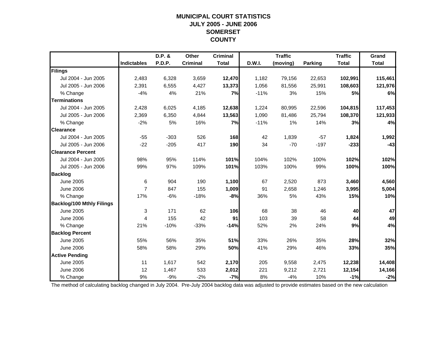## **MUNICIPAL COURT STATISTICSJULY 2005 - JUNE 2006 SOMERSET COUNTY**

|                                  |                    | D.P. &        | Other           | <b>Criminal</b> |               | <b>Traffic</b> |                | <b>Traffic</b> | Grand        |
|----------------------------------|--------------------|---------------|-----------------|-----------------|---------------|----------------|----------------|----------------|--------------|
|                                  | <b>Indictables</b> | <b>P.D.P.</b> | <b>Criminal</b> | <b>Total</b>    | <b>D.W.I.</b> | (moving)       | <b>Parking</b> | <b>Total</b>   | <b>Total</b> |
| Filings                          |                    |               |                 |                 |               |                |                |                |              |
| Jul 2004 - Jun 2005              | 2,483              | 6,328         | 3,659           | 12,470          | 1,182         | 79,156         | 22,653         | 102,991        | 115,461      |
| Jul 2005 - Jun 2006              | 2,391              | 6,555         | 4,427           | 13,373          | 1,056         | 81,556         | 25,991         | 108,603        | 121,976      |
| % Change                         | $-4%$              | 4%            | 21%             | 7%              | $-11%$        | 3%             | 15%            | 5%             | 6%           |
| <b>Terminations</b>              |                    |               |                 |                 |               |                |                |                |              |
| Jul 2004 - Jun 2005              | 2,428              | 6,025         | 4,185           | 12,638          | 1,224         | 80,995         | 22,596         | 104,815        | 117,453      |
| Jul 2005 - Jun 2006              | 2,369              | 6,350         | 4,844           | 13,563          | 1,090         | 81,486         | 25,794         | 108,370        | 121,933      |
| % Change                         | $-2%$              | 5%            | 16%             | 7%              | $-11%$        | 1%             | 14%            | 3%             | 4%           |
| <b>Clearance</b>                 |                    |               |                 |                 |               |                |                |                |              |
| Jul 2004 - Jun 2005              | $-55$              | $-303$        | 526             | 168             | 42            | 1,839          | $-57$          | 1,824          | 1,992        |
| Jul 2005 - Jun 2006              | $-22$              | $-205$        | 417             | 190             | 34            | $-70$          | $-197$         | $-233$         | $-43$        |
| <b>Clearance Percent</b>         |                    |               |                 |                 |               |                |                |                |              |
| Jul 2004 - Jun 2005              | 98%                | 95%           | 114%            | 101%            | 104%          | 102%           | 100%           | 102%           | 102%         |
| Jul 2005 - Jun 2006              | 99%                | 97%           | 109%            | 101%            | 103%          | 100%           | 99%            | 100%           | 100%         |
| <b>Backlog</b>                   |                    |               |                 |                 |               |                |                |                |              |
| <b>June 2005</b>                 | 6                  | 904           | 190             | 1,100           | 67            | 2,520          | 873            | 3,460          | 4,560        |
| <b>June 2006</b>                 | $\overline{7}$     | 847           | 155             | 1,009           | 91            | 2,658          | 1,246          | 3,995          | 5,004        |
| % Change                         | 17%                | $-6%$         | $-18%$          | $-8%$           | 36%           | 5%             | 43%            | 15%            | 10%          |
| <b>Backlog/100 Mthly Filings</b> |                    |               |                 |                 |               |                |                |                |              |
| <b>June 2005</b>                 | 3                  | 171           | 62              | 106             | 68            | 38             | 46             | 40             | 47           |
| <b>June 2006</b>                 | 4                  | 155           | 42              | 91              | 103           | 39             | 58             | 44             | 49           |
| % Change                         | 21%                | $-10%$        | $-33%$          | $-14%$          | 52%           | 2%             | 24%            | 9%             | 4%           |
| <b>Backlog Percent</b>           |                    |               |                 |                 |               |                |                |                |              |
| <b>June 2005</b>                 | 55%                | 56%           | 35%             | 51%             | 33%           | 26%            | 35%            | 28%            | 32%          |
| <b>June 2006</b>                 | 58%                | 58%           | 29%             | 50%             | 41%           | 29%            | 46%            | 33%            | 35%          |
| <b>Active Pending</b>            |                    |               |                 |                 |               |                |                |                |              |
| <b>June 2005</b>                 | 11                 | 1,617         | 542             | 2,170           | 205           | 9,558          | 2,475          | 12,238         | 14,408       |
| <b>June 2006</b>                 | 12                 | 1,467         | 533             | 2,012           | 221           | 9,212          | 2,721          | 12,154         | 14,166       |
| % Change                         | 9%                 | $-9%$         | $-2%$           | $-7%$           | 8%            | $-4%$          | 10%            | $-1%$          | $-2%$        |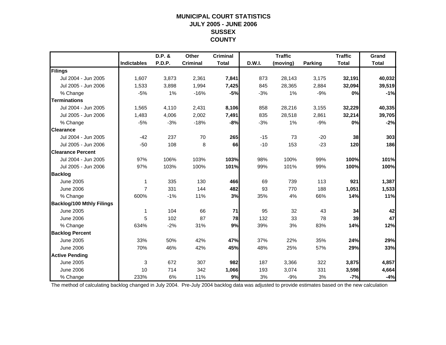## **MUNICIPAL COURT STATISTICSJULY 2005 - JUNE 2006 SUSSEX COUNTY**

|                                  |                    | D.P. &        | Other           | <b>Criminal</b> |        | <b>Traffic</b> |                | <b>Traffic</b> | Grand        |
|----------------------------------|--------------------|---------------|-----------------|-----------------|--------|----------------|----------------|----------------|--------------|
|                                  | <b>Indictables</b> | <b>P.D.P.</b> | <b>Criminal</b> | <b>Total</b>    | D.W.I. | (moving)       | <b>Parking</b> | <b>Total</b>   | <b>Total</b> |
| Filings                          |                    |               |                 |                 |        |                |                |                |              |
| Jul 2004 - Jun 2005              | 1,607              | 3,873         | 2,361           | 7,841           | 873    | 28,143         | 3,175          | 32,191         | 40,032       |
| Jul 2005 - Jun 2006              | 1,533              | 3,898         | 1,994           | 7,425           | 845    | 28,365         | 2,884          | 32,094         | 39,519       |
| % Change                         | $-5%$              | 1%            | $-16%$          | $-5%$           | $-3%$  | 1%             | $-9%$          | 0%             | $-1%$        |
| <b>Terminations</b>              |                    |               |                 |                 |        |                |                |                |              |
| Jul 2004 - Jun 2005              | 1,565              | 4,110         | 2,431           | 8,106           | 858    | 28,216         | 3,155          | 32,229         | 40,335       |
| Jul 2005 - Jun 2006              | 1,483              | 4,006         | 2,002           | 7,491           | 835    | 28,518         | 2,861          | 32,214         | 39,705       |
| % Change                         | $-5%$              | $-3%$         | $-18%$          | $-8%$           | $-3%$  | 1%             | $-9%$          | 0%             | $-2%$        |
| <b>Clearance</b>                 |                    |               |                 |                 |        |                |                |                |              |
| Jul 2004 - Jun 2005              | $-42$              | 237           | 70              | 265             | $-15$  | 73             | $-20$          | 38             | 303          |
| Jul 2005 - Jun 2006              | $-50$              | 108           | 8               | 66              | $-10$  | 153            | $-23$          | 120            | 186          |
| <b>Clearance Percent</b>         |                    |               |                 |                 |        |                |                |                |              |
| Jul 2004 - Jun 2005              | 97%                | 106%          | 103%            | 103%            | 98%    | 100%           | 99%            | 100%           | 101%         |
| Jul 2005 - Jun 2006              | 97%                | 103%          | 100%            | 101%            | 99%    | 101%           | 99%            | 100%           | 100%         |
| <b>Backlog</b>                   |                    |               |                 |                 |        |                |                |                |              |
| <b>June 2005</b>                 | $\mathbf 1$        | 335           | 130             | 466             | 69     | 739            | 113            | 921            | 1,387        |
| <b>June 2006</b>                 | $\overline{7}$     | 331           | 144             | 482             | 93     | 770            | 188            | 1,051          | 1,533        |
| % Change                         | 600%               | $-1%$         | 11%             | 3%              | 35%    | 4%             | 66%            | 14%            | 11%          |
| <b>Backlog/100 Mthly Filings</b> |                    |               |                 |                 |        |                |                |                |              |
| <b>June 2005</b>                 | 1                  | 104           | 66              | 71              | 95     | 32             | 43             | 34             | 42           |
| <b>June 2006</b>                 | 5                  | 102           | 87              | 78              | 132    | 33             | 78             | 39             | 47           |
| % Change                         | 634%               | $-2%$         | 31%             | 9%              | 39%    | 3%             | 83%            | 14%            | 12%          |
| <b>Backlog Percent</b>           |                    |               |                 |                 |        |                |                |                |              |
| <b>June 2005</b>                 | 33%                | 50%           | 42%             | 47%             | 37%    | 22%            | 35%            | 24%            | 29%          |
| <b>June 2006</b>                 | 70%                | 46%           | 42%             | 45%             | 48%    | 25%            | 57%            | 29%            | 33%          |
| <b>Active Pending</b>            |                    |               |                 |                 |        |                |                |                |              |
| <b>June 2005</b>                 | 3                  | 672           | 307             | 982             | 187    | 3,366          | 322            | 3,875          | 4,857        |
| <b>June 2006</b>                 | 10                 | 714           | 342             | 1,066           | 193    | 3,074          | 331            | 3,598          | 4,664        |
| % Change                         | 233%               | 6%            | 11%             | 9%              | 3%     | $-9%$          | 3%             | $-7%$          | $-4%$        |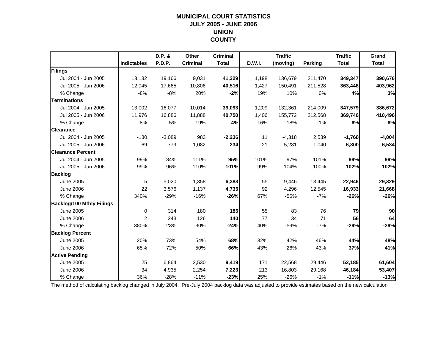## **MUNICIPAL COURT STATISTICSJULY 2005 - JUNE 2006 UNION COUNTY**

|                                  |                    | D.P. &   | Other           | <b>Criminal</b> |        | <b>Traffic</b> |                | <b>Traffic</b> | Grand        |
|----------------------------------|--------------------|----------|-----------------|-----------------|--------|----------------|----------------|----------------|--------------|
|                                  | <b>Indictables</b> | P.D.P.   | <b>Criminal</b> | <b>Total</b>    | D.W.I. | (moving)       | <b>Parking</b> | <b>Total</b>   | <b>Total</b> |
| Filings                          |                    |          |                 |                 |        |                |                |                |              |
| Jul 2004 - Jun 2005              | 13,132             | 19,166   | 9,031           | 41,329          | 1,198  | 136,679        | 211,470        | 349,347        | 390,676      |
| Jul 2005 - Jun 2006              | 12,045             | 17,665   | 10,806          | 40,516          | 1,427  | 150,491        | 211,528        | 363,446        | 403,962      |
| % Change                         | $-8%$              | $-8%$    | 20%             | $-2%$           | 19%    | 10%            | 0%             | 4%             | 3%           |
| <b>Terminations</b>              |                    |          |                 |                 |        |                |                |                |              |
| Jul 2004 - Jun 2005              | 13,002             | 16,077   | 10,014          | 39,093          | 1,209  | 132,361        | 214,009        | 347,579        | 386,672      |
| Jul 2005 - Jun 2006              | 11,976             | 16,886   | 11,888          | 40,750          | 1,406  | 155,772        | 212,568        | 369,746        | 410,496      |
| % Change                         | $-8%$              | 5%       | 19%             | 4%              | 16%    | 18%            | $-1%$          | 6%             | 6%           |
| <b>Clearance</b>                 |                    |          |                 |                 |        |                |                |                |              |
| Jul 2004 - Jun 2005              | $-130$             | $-3,089$ | 983             | $-2,236$        | 11     | $-4,318$       | 2,539          | $-1,768$       | $-4,004$     |
| Jul 2005 - Jun 2006              | $-69$              | $-779$   | 1,082           | 234             | $-21$  | 5,281          | 1,040          | 6,300          | 6,534        |
| <b>Clearance Percent</b>         |                    |          |                 |                 |        |                |                |                |              |
| Jul 2004 - Jun 2005              | 99%                | 84%      | 111%            | 95%             | 101%   | 97%            | 101%           | 99%            | 99%          |
| Jul 2005 - Jun 2006              | 99%                | 96%      | 110%            | 101%            | 99%    | 104%           | 100%           | 102%           | 102%         |
| <b>Backlog</b>                   |                    |          |                 |                 |        |                |                |                |              |
| <b>June 2005</b>                 | 5                  | 5,020    | 1,358           | 6,383           | 55     | 9,446          | 13,445         | 22,946         | 29,329       |
| <b>June 2006</b>                 | 22                 | 3,576    | 1,137           | 4,735           | 92     | 4,296          | 12,545         | 16,933         | 21,668       |
| % Change                         | 340%               | $-29%$   | $-16%$          | $-26%$          | 67%    | $-55%$         | $-7%$          | $-26%$         | $-26%$       |
| <b>Backlog/100 Mthly Filings</b> |                    |          |                 |                 |        |                |                |                |              |
| June 2005                        | 0                  | 314      | 180             | 185             | 55     | 83             | 76             | 79             | 90           |
| <b>June 2006</b>                 | $\overline{2}$     | 243      | 126             | 140             | 77     | 34             | 71             | 56             | 64           |
| % Change                         | 380%               | $-23%$   | $-30%$          | $-24%$          | 40%    | $-59%$         | $-7%$          | -29%           | $-29%$       |
| <b>Backlog Percent</b>           |                    |          |                 |                 |        |                |                |                |              |
| <b>June 2005</b>                 | 20%                | 73%      | 54%             | 68%             | 32%    | 42%            | 46%            | 44%            | 48%          |
| <b>June 2006</b>                 | 65%                | 72%      | 50%             | 66%             | 43%    | 26%            | 43%            | 37%            | 41%          |
| <b>Active Pending</b>            |                    |          |                 |                 |        |                |                |                |              |
| <b>June 2005</b>                 | 25                 | 6,864    | 2,530           | 9,419           | 171    | 22,568         | 29,446         | 52,185         | 61,604       |
| <b>June 2006</b>                 | 34                 | 4,935    | 2,254           | 7,223           | 213    | 16,803         | 29,168         | 46,184         | 53,407       |
| % Change                         | 36%                | $-28%$   | $-11%$          | $-23%$          | 25%    | $-26%$         | $-1%$          | $-11%$         | $-13%$       |